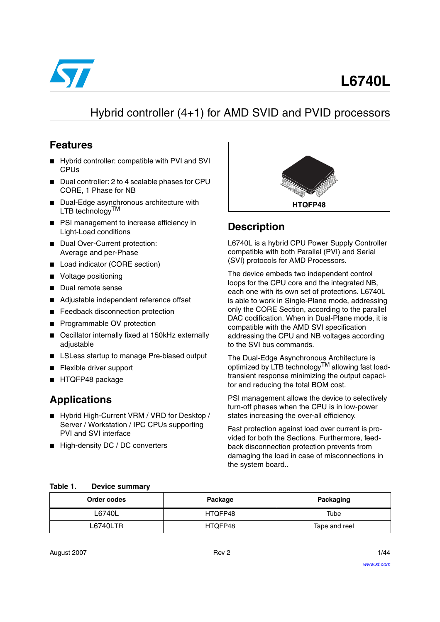

# **L6740L**

## Hybrid controller (4+1) for AMD SVID and PVID processors

## **Features**

- Hybrid controller: compatible with PVI and SVI CPUs
- Dual controller: 2 to 4 scalable phases for CPU CORE, 1 Phase for NB
- Dual-Edge asynchronous architecture with LTB technologyTM
- PSI management to increase efficiency in Light-Load conditions
- Dual Over-Current protection: Average and per-Phase
- Load indicator (CORE section)
- Voltage positioning
- Dual remote sense
- Adjustable independent reference offset
- Feedback disconnection protection
- Programmable OV protection
- Oscillator internally fixed at 150kHz externally adjustable
- LSLess startup to manage Pre-biased output
- Flexible driver support
- HTQFP48 package

## **Applications**

- Hybrid High-Current VRM / VRD for Desktop / Server / Workstation / IPC CPUs supporting PVI and SVI interface
- High-density DC / DC converters



## **Description**

L6740L is a hybrid CPU Power Supply Controller compatible with both Parallel (PVI) and Serial (SVI) protocols for AMD Processors.

The device embeds two independent control loops for the CPU core and the integrated NB, each one with its own set of protections. L6740L is able to work in Single-Plane mode, addressing only the CORE Section, according to the parallel DAC codification. When in Dual-Plane mode, it is compatible with the AMD SVI specification addressing the CPU and NB voltages according to the SVI bus commands.

The Dual-Edge Asynchronous Architecture is optimized by LTB technology<sup>TM</sup> allowing fast loadtransient response minimizing the output capacitor and reducing the total BOM cost.

PSI management allows the device to selectively turn-off phases when the CPU is in low-power states increasing the over-all efficiency.

Fast protection against load over current is provided for both the Sections. Furthermore, feedback disconnection protection prevents from damaging the load in case of misconnections in the system board..

| Order codes     | Package | Packaging     |
|-----------------|---------|---------------|
| L6740L          | HTQFP48 | Tube          |
| <b>L6740LTR</b> | HTQFP48 | Tape and reel |

#### **Table 1. Device summary**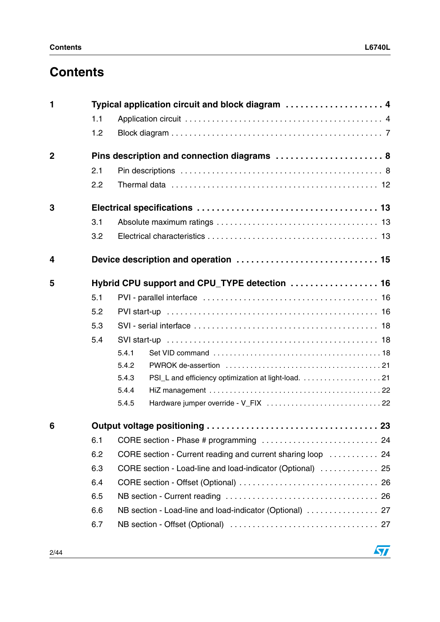| 1              |     | Typical application circuit and block diagram  4            |  |  |
|----------------|-----|-------------------------------------------------------------|--|--|
|                | 1.1 |                                                             |  |  |
|                | 1.2 |                                                             |  |  |
| $\overline{2}$ |     | Pins description and connection diagrams  8                 |  |  |
|                | 2.1 |                                                             |  |  |
|                | 2.2 |                                                             |  |  |
| 3              |     |                                                             |  |  |
|                | 3.1 |                                                             |  |  |
|                | 3.2 |                                                             |  |  |
| 4              |     |                                                             |  |  |
| 5              |     | Hybrid CPU support and CPU_TYPE detection  16               |  |  |
|                | 5.1 |                                                             |  |  |
|                | 5.2 |                                                             |  |  |
|                | 5.3 |                                                             |  |  |
|                | 5.4 |                                                             |  |  |
|                |     | 5.4.1                                                       |  |  |
|                |     | 5.4.2                                                       |  |  |
|                |     | 5.4.3                                                       |  |  |
|                |     | 5.4.4                                                       |  |  |
|                |     | 5.4.5                                                       |  |  |
| 6              |     |                                                             |  |  |
|                | 6.1 |                                                             |  |  |
|                | 6.2 | CORE section - Current reading and current sharing loop  24 |  |  |
|                | 6.3 | CORE section - Load-line and load-indicator (Optional)  25  |  |  |
|                | 6.4 |                                                             |  |  |
|                | 6.5 |                                                             |  |  |
|                | 6.6 | NB section - Load-line and load-indicator (Optional)  27    |  |  |
|                | 6.7 |                                                             |  |  |
|                |     |                                                             |  |  |

 $\sqrt{2}$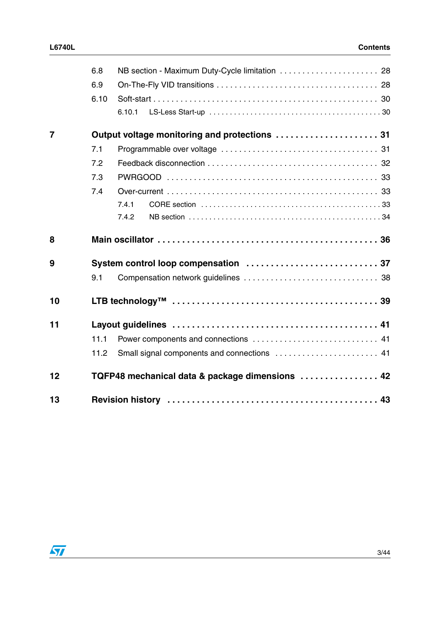|    | 6.8  | NB section - Maximum Duty-Cycle limitation  28  |
|----|------|-------------------------------------------------|
|    | 6.9  |                                                 |
|    | 6.10 |                                                 |
|    |      | 6.10.1                                          |
| 7  |      |                                                 |
|    | 7.1  |                                                 |
|    | 7.2  |                                                 |
|    | 7.3  |                                                 |
|    | 7.4  |                                                 |
|    |      | 7.4.1                                           |
|    |      | 7.4.2                                           |
| 8  |      |                                                 |
| 9  |      |                                                 |
|    | 9.1  |                                                 |
| 10 |      |                                                 |
| 11 |      |                                                 |
|    | 11.1 |                                                 |
|    | 11.2 |                                                 |
| 12 |      | TQFP48 mechanical data & package dimensions  42 |
| 13 |      |                                                 |

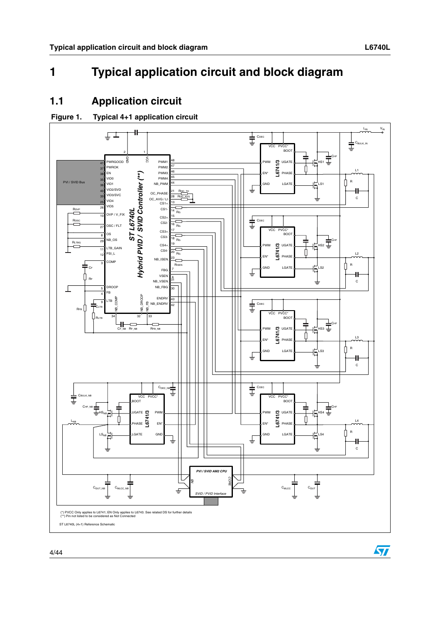$\sqrt{2}$ 

## <span id="page-3-0"></span>**1 Typical application circuit and block diagram**

## <span id="page-3-1"></span>**1.1 Application circuit**

#### **Figure 1. Typical 4+1 application circuit**

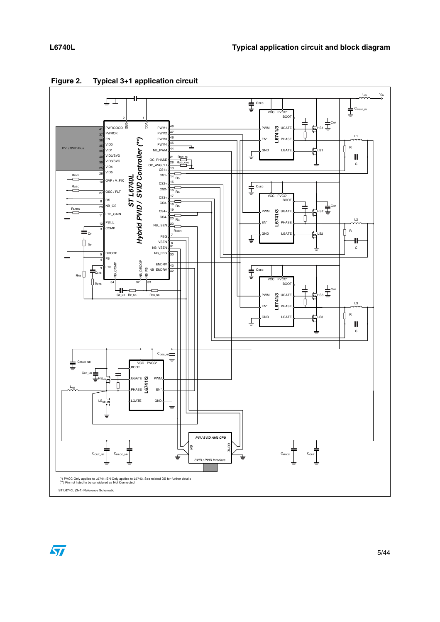

#### **Figure 2. Typical 3+1 application circuit**

 $\sqrt{2}$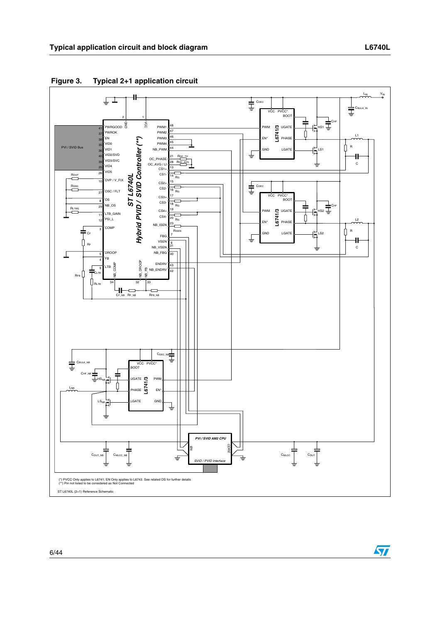

**Figure 3. Typical 2+1 application circuit**

 $\sqrt{2}$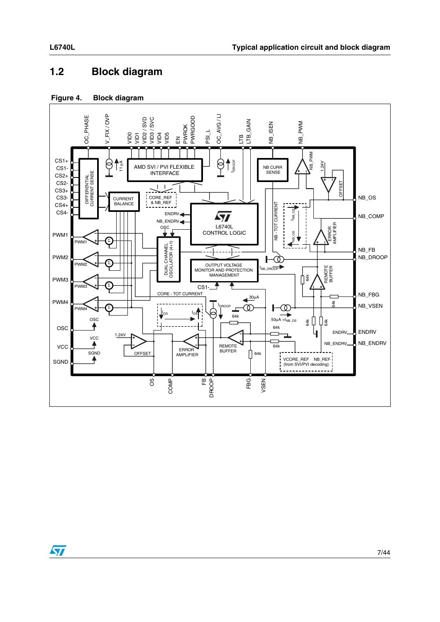## <span id="page-6-0"></span>**1.2 Block diagram**

#### **Figure 4. Block diagram**



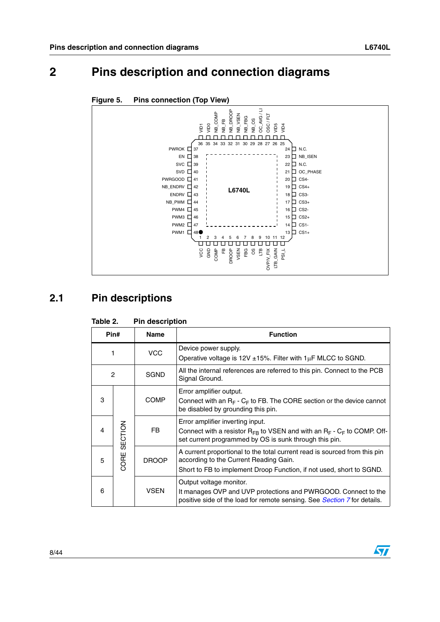## <span id="page-7-0"></span>**2 Pins description and connection diagrams**



#### **Figure 5. Pins connection (Top View)**

## <span id="page-7-1"></span>**2.1 Pin descriptions**

| Pin#<br><b>Name</b> |         |              | <b>Function</b>                                                                                                                                                                             |
|---------------------|---------|--------------|---------------------------------------------------------------------------------------------------------------------------------------------------------------------------------------------|
| 1                   |         | <b>VCC</b>   | Device power supply.<br>Operative voltage is $12V \pm 15\%$ . Filter with $1\mu$ F MLCC to SGND.                                                                                            |
| 2                   |         | <b>SGND</b>  | All the internal references are referred to this pin. Connect to the PCB<br>Signal Ground.                                                                                                  |
| 3                   |         | <b>COMP</b>  | Error amplifier output.<br>Connect with an $R_F$ - $C_F$ to FB. The CORE section or the device cannot<br>be disabled by grounding this pin.                                                 |
| 4                   | SECTION | FB.          | Error amplifier inverting input.<br>Connect with a resistor $R_{FB}$ to VSEN and with an $R_F$ - $C_F$ to COMP. Off-<br>set current programmed by OS is sunk through this pin.              |
| 5                   | CORE    | <b>DROOP</b> | A current proportional to the total current read is sourced from this pin<br>according to the Current Reading Gain.<br>Short to FB to implement Droop Function, if not used, short to SGND. |
| 6                   |         | <b>VSEN</b>  | Output voltage monitor.<br>It manages OVP and UVP protections and PWRGOOD. Connect to the<br>positive side of the load for remote sensing. See Section 7 for details.                       |

#### **Table 2. Pin description**

8/44

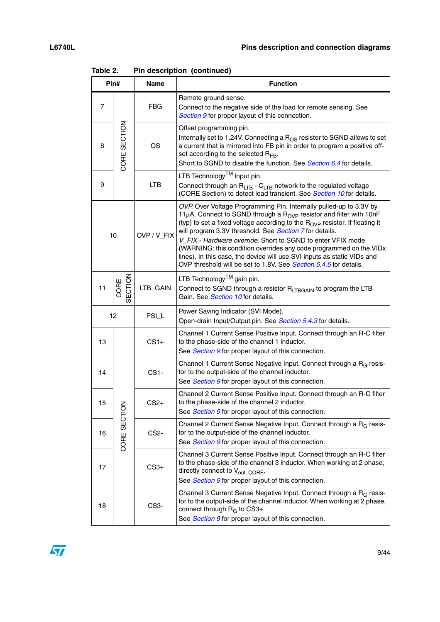|                | Pin#           | Name              | <b>Function</b>                                                                                                                                                                                                                                                                                                                                                                                                                                                                                                                                                                                       |
|----------------|----------------|-------------------|-------------------------------------------------------------------------------------------------------------------------------------------------------------------------------------------------------------------------------------------------------------------------------------------------------------------------------------------------------------------------------------------------------------------------------------------------------------------------------------------------------------------------------------------------------------------------------------------------------|
| $\overline{7}$ |                | <b>FBG</b>        | Remote ground sense.<br>Connect to the negative side of the load for remote sensing. See<br>Section 9 for proper layout of this connection.                                                                                                                                                                                                                                                                                                                                                                                                                                                           |
| 8              | CORE SECTION   | OS                | Offset programming pin.<br>Internally set to 1.24V. Connecting a R <sub>OS</sub> resistor to SGND allows to set<br>a current that is mirrored into FB pin in order to program a positive off-<br>set according to the selected $R_{FB}$ .<br>Short to SGND to disable the function. See <i>Section 6.4</i> for details.                                                                                                                                                                                                                                                                               |
| 9              |                | LTB               | LTB Technology <sup>TM</sup> Input pin.<br>Connect through an $R_{LTB}$ - $C_{LTB}$ network to the regulated voltage<br>(CORE Section) to detect load transient. See Section 10 for details.                                                                                                                                                                                                                                                                                                                                                                                                          |
|                | 10             | OVP / V_FIX       | OVP. Over Voltage Programming Pin. Internally pulled-up to 3.3V by<br>11 $\mu$ A. Connect to SGND through a R <sub>OVP</sub> resistor and filter with 10nF<br>(typ) to set a fixed voltage according to the R <sub>OVP</sub> resistor. If floating it<br>will program 3.3V threshold. See Section 7 for details.<br>V_FIX - Hardware override. Short to SGND to enter VFIX mode<br>(WARNING: this condition overrides any code programmed on the VIDx<br>lines). In this case, the device will use SVI inputs as static VIDs and<br>OVP threshold will be set to 1.8V. See Section 5.4.5 for details. |
| 11             | CORE<br>ECTION | LTB_GAIN          | LTB Technology™ gain pin.<br>Connect to SGND through a resistor RLTBGAIN to program the LTB<br>Gain. See Section 10 for details.                                                                                                                                                                                                                                                                                                                                                                                                                                                                      |
| 12             |                | PSI_L             | Power Saving Indicator (SVI Mode).<br>Open-drain Input/Output pin. See Section 5.4.3 for details.                                                                                                                                                                                                                                                                                                                                                                                                                                                                                                     |
| 13             |                | $CS1+$            | Channel 1 Current Sense Positive Input. Connect through an R-C filter<br>to the phase-side of the channel 1 inductor.<br>See Section 9 for proper layout of this connection.                                                                                                                                                                                                                                                                                                                                                                                                                          |
| 14             |                | CS <sub>1</sub> - | Channel 1 Current Sense Negative Input. Connect through a R <sub>G</sub> resis-<br>tor to the output-side of the channel inductor.<br>See Section 9 for proper layout of this connection.                                                                                                                                                                                                                                                                                                                                                                                                             |
| 15             | z              | $CS2+$            | Channel 2 Current Sense Positive Input. Connect through an R-C filter<br>to the phase-side of the channel 2 inductor.<br>See Section 9 for proper layout of this connection.                                                                                                                                                                                                                                                                                                                                                                                                                          |
| 16             | CORE SECTIO    | CS <sub>2</sub> - | Channel 2 Current Sense Negative Input. Connect through a R <sub>G</sub> resis-<br>tor to the output-side of the channel inductor.<br>See Section 9 for proper layout of this connection.                                                                                                                                                                                                                                                                                                                                                                                                             |
| 17             |                | $CS3+$            | Channel 3 Current Sense Positive Input. Connect through an R-C filter<br>to the phase-side of the channel 3 inductor. When working at 2 phase,<br>directly connect to V <sub>out CORE</sub> .<br>See Section 9 for proper layout of this connection.                                                                                                                                                                                                                                                                                                                                                  |
| 18             |                | CS <sub>3</sub> - | Channel 3 Current Sense Negative Input. Connect through a R <sub>G</sub> resis-<br>tor to the output-side of the channel inductor. When working at 2 phase,<br>connect through R <sub>G</sub> to CS3+.<br>See Section 9 for proper layout of this connection.                                                                                                                                                                                                                                                                                                                                         |

**Table 2. Pin description (continued)**

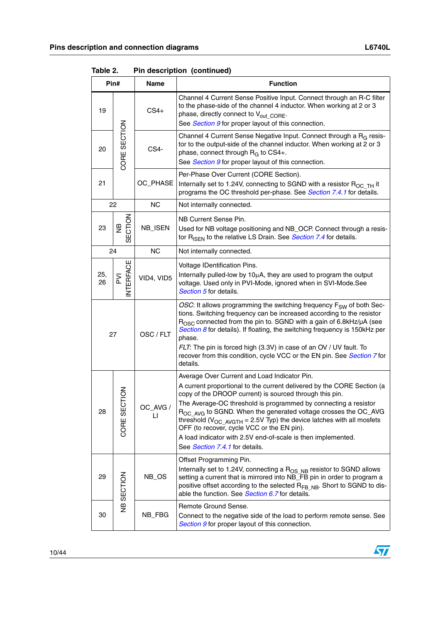|           | Pin#                            | Name                 | <b>Function</b>                                                                                                                                                                                                                                                                                                                                                                                                                                                                                                                                                  |
|-----------|---------------------------------|----------------------|------------------------------------------------------------------------------------------------------------------------------------------------------------------------------------------------------------------------------------------------------------------------------------------------------------------------------------------------------------------------------------------------------------------------------------------------------------------------------------------------------------------------------------------------------------------|
| 19        |                                 | $CS4+$               | Channel 4 Current Sense Positive Input. Connect through an R-C filter<br>to the phase-side of the channel 4 inductor. When working at 2 or 3<br>phase, directly connect to V <sub>out CORE</sub> .<br>See Section 9 for proper layout of this connection.                                                                                                                                                                                                                                                                                                        |
| 20        | CORE SECTION                    | CS4-                 | Channel 4 Current Sense Negative Input. Connect through a R <sub>G</sub> resis-<br>tor to the output-side of the channel inductor. When working at 2 or 3<br>phase, connect through R <sub>G</sub> to CS4+.<br>See Section 9 for proper layout of this connection.                                                                                                                                                                                                                                                                                               |
| 21        |                                 | OC_PHASE             | Per-Phase Over Current (CORE Section).<br>Internally set to 1.24V, connecting to SGND with a resistor $R_{OCTH}$ it<br>programs the OC threshold per-phase. See Section 7.4.1 for details.                                                                                                                                                                                                                                                                                                                                                                       |
|           | 22                              | <b>NC</b>            | Not internally connected.                                                                                                                                                                                                                                                                                                                                                                                                                                                                                                                                        |
| 23        | ECTION<br>€                     | NB_ISEN              | NB Current Sense Pin.<br>Used for NB voltage positioning and NB_OCP. Connect through a resis-<br>tor R <sub>ISEN</sub> to the relative LS Drain. See <b>Section 7.4</b> for details.                                                                                                                                                                                                                                                                                                                                                                             |
|           | 24                              | <b>NC</b>            | Not internally connected.                                                                                                                                                                                                                                                                                                                                                                                                                                                                                                                                        |
| 25,<br>26 | NTERFACE<br>$\overline{\Sigma}$ | VID4, VID5           | Voltage IDentification Pins.<br>Internally pulled-low by 10µA, they are used to program the output<br>voltage. Used only in PVI-Mode, ignored when in SVI-Mode.See<br>Section 5 for details.                                                                                                                                                                                                                                                                                                                                                                     |
| 27        |                                 | OSC / FLT            | OSC: It allows programming the switching frequency F <sub>SW</sub> of both Sec-<br>tions. Switching frequency can be increased according to the resistor<br>$R_{\rm OSC}$ connected from the pin to. SGND with a gain of 6.8kHz/ $\mu$ A (see<br>Section $8$ for details). If floating, the switching frequency is 150kHz per<br>phase.<br>FLT: The pin is forced high (3.3V) in case of an OV / UV fault. To<br>recover from this condition, cycle VCC or the EN pin. See Section 7 for<br>details.                                                             |
| 28        | <b>NOLD</b><br>₩<br>CORE        | OC_AVG /<br>$\sqcup$ | Average Over Current and Load Indicator Pin.<br>A current proportional to the current delivered by the CORE Section (a<br>copy of the DROOP current) is sourced through this pin.<br>The Average-OC threshold is programmed by connecting a resistor<br>R <sub>OC AVG</sub> to SGND. When the generated voltage crosses the OC_AVG<br>threshold ( $V_{OC}$ AVGTH = 2.5V Typ) the device latches with all mosfets<br>OFF (to recover, cycle VCC or the EN pin).<br>A load indicator with 2.5V end-of-scale is then implemented.<br>See Section 7.4.1 for details. |
| 29        | NB SECTION                      | NB_OS                | Offset Programming Pin.<br>Internally set to 1.24V, connecting a R <sub>OS NB</sub> resistor to SGND allows<br>setting a current that is mirrored into NB_FB pin in order to program a<br>positive offset according to the selected R <sub>FB NB</sub> . Short to SGND to dis-<br>able the function. See Section 6.7 for details.                                                                                                                                                                                                                                |
| 30        |                                 | NB_FBG               | Remote Ground Sense.<br>Connect to the negative side of the load to perform remote sense. See<br>Section 9 for proper layout of this connection.                                                                                                                                                                                                                                                                                                                                                                                                                 |

**Table 2. Pin description (continued)**

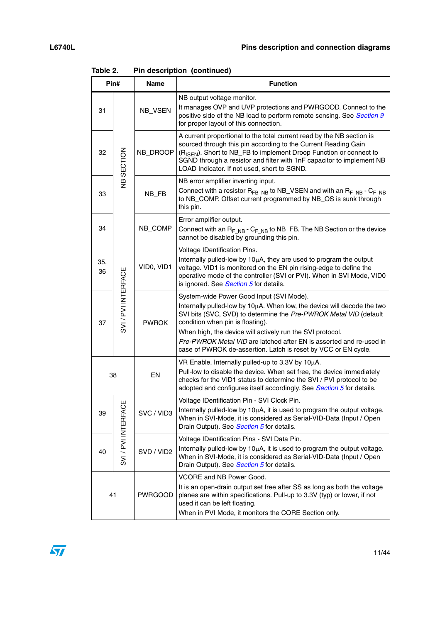|           | Pin#                | Name           | <b>Function</b>                                                                                                                                                                                                                                                                                                                                                                                                                    |
|-----------|---------------------|----------------|------------------------------------------------------------------------------------------------------------------------------------------------------------------------------------------------------------------------------------------------------------------------------------------------------------------------------------------------------------------------------------------------------------------------------------|
| 31        |                     | NB_VSEN        | NB output voltage monitor.<br>It manages OVP and UVP protections and PWRGOOD. Connect to the<br>positive side of the NB load to perform remote sensing. See Section 9<br>for proper layout of this connection.                                                                                                                                                                                                                     |
| 32        | NB SECTION          | NB_DROOP       | A current proportional to the total current read by the NB section is<br>sourced through this pin according to the Current Reading Gain<br>(R <sub>ISEN</sub> ). Short to NB_FB to implement Droop Function or connect to<br>SGND through a resistor and filter with 1nF capacitor to implement NB<br>LOAD Indicator. If not used, short to SGND.                                                                                  |
| 33        |                     | NB_FB          | NB error amplifier inverting input.<br>Connect with a resistor $R_{FB~NB}$ to NB_VSEN and with an $R_{F~NB}$ - $C_{F~NB}$<br>to NB_COMP. Offset current programmed by NB_OS is sunk through<br>this pin.                                                                                                                                                                                                                           |
| 34        |                     | NB_COMP        | Error amplifier output.<br>Connect with an $R_{F,NB}$ - $C_{F,NB}$ to NB_FB. The NB Section or the device<br>cannot be disabled by grounding this pin.                                                                                                                                                                                                                                                                             |
| 35,<br>36 |                     | VIDO, VID1     | Voltage IDentification Pins.<br>Internally pulled-low by 10µA, they are used to program the output<br>voltage. VID1 is monitored on the EN pin rising-edge to define the<br>operative mode of the controller (SVI or PVI). When in SVI Mode, VID0<br>is ignored. See Section 5 for details.                                                                                                                                        |
| 37        | SVI / PVI INTERFACE | <b>PWROK</b>   | System-wide Power Good Input (SVI Mode).<br>Internally pulled-low by 10µA. When low, the device will decode the two<br>SVI bits (SVC, SVD) to determine the Pre-PWROK Metal VID (default<br>condition when pin is floating).<br>When high, the device will actively run the SVI protocol.<br>Pre-PWROK Metal VID are latched after EN is asserted and re-used in<br>case of PWROK de-assertion. Latch is reset by VCC or EN cycle. |
|           | 38                  | EN             | VR Enable. Internally pulled-up to 3.3V by 10µA.<br>Pull-low to disable the device. When set free, the device immediately<br>checks for the VID1 status to determine the SVI / PVI protocol to be<br>adopted and configures itself accordingly. See Section 5 for details.                                                                                                                                                         |
| 39        | щ                   | SVC / VID3     | Voltage IDentification Pin - SVI Clock Pin.<br>Internally pulled-low by 10µA, it is used to program the output voltage.<br>When in SVI-Mode, it is considered as Serial-VID-Data (Input / Open<br>Drain Output). See Section 5 for details.                                                                                                                                                                                        |
| 40        | SVI / PVI INTERFAC  | SVD / VID2     | Voltage IDentification Pins - SVI Data Pin.<br>Internally pulled-low by 10µA, it is used to program the output voltage.<br>When in SVI-Mode, it is considered as Serial-VID-Data (Input / Open<br>Drain Output). See Section 5 for details.                                                                                                                                                                                        |
|           | 41                  | <b>PWRGOOD</b> | VCORE and NB Power Good.<br>It is an open-drain output set free after SS as long as both the voltage<br>planes are within specifications. Pull-up to 3.3V (typ) or lower, if not<br>used it can be left floating.<br>When in PVI Mode, it monitors the CORE Section only.                                                                                                                                                          |

**Table 2. Pin description (continued)**

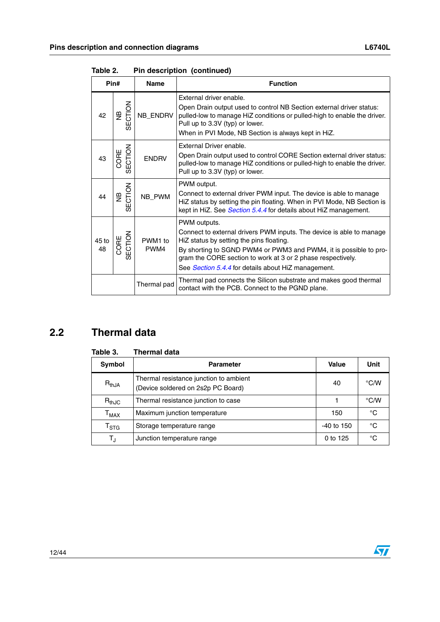|             | Pin#                     | <b>Name</b>                 | <b>Function</b>                                                                                                                                                                                                                                                                                                             |
|-------------|--------------------------|-----------------------------|-----------------------------------------------------------------------------------------------------------------------------------------------------------------------------------------------------------------------------------------------------------------------------------------------------------------------------|
| 42          | SECTION<br>$\frac{a}{2}$ | NB_ENDRV                    | External driver enable.<br>Open Drain output used to control NB Section external driver status:<br>pulled-low to manage HiZ conditions or pulled-high to enable the driver.<br>Pull up to 3.3V (typ) or lower.<br>When in PVI Mode, NB Section is always kept in HiZ.                                                       |
| 43          | ECTION<br>CORE           | <b>ENDRV</b>                | External Driver enable.<br>Open Drain output used to control CORE Section external driver status:<br>pulled-low to manage HiZ conditions or pulled-high to enable the driver.<br>Pull up to 3.3V (typ) or lower.                                                                                                            |
| 44          | SECTION<br>و<br>ح        | NB_PWM                      | PWM output.<br>Connect to external driver PWM input. The device is able to manage<br>HiZ status by setting the pin floating. When in PVI Mode, NB Section is<br>kept in HiZ. See Section 5.4.4 for details about HiZ management.                                                                                            |
| 45 to<br>48 | SECTION<br>CORE          | PWM <sub>1</sub> to<br>PWM4 | PWM outputs.<br>Connect to external drivers PWM inputs. The device is able to manage<br>HiZ status by setting the pins floating.<br>By shorting to SGND PWM4 or PWM3 and PWM4, it is possible to pro-<br>gram the CORE section to work at 3 or 2 phase respectively.<br>See Section 5.4.4 for details about HiZ management. |
|             |                          | Thermal pad                 | Thermal pad connects the Silicon substrate and makes good thermal<br>contact with the PCB. Connect to the PGND plane.                                                                                                                                                                                                       |

**Table 2. Pin description (continued)**

## <span id="page-11-0"></span>**2.2 Thermal data**

| Table 3.                    | Thermal data                                                                 |            |               |
|-----------------------------|------------------------------------------------------------------------------|------------|---------------|
| Symbol                      | <b>Parameter</b>                                                             | Value      | <b>Unit</b>   |
| $R_{thJA}$                  | Thermal resistance junction to ambient<br>(Device soldered on 2s2p PC Board) | 40         | $\degree$ C/W |
| $R_{thJC}$                  | Thermal resistance junction to case                                          |            | °C/W          |
| $\mathsf{T}_{\mathsf{MAX}}$ | Maximum junction temperature                                                 | 150        | °C            |
| $\mathsf{T}_{\textsf{STG}}$ | Storage temperature range                                                    | -40 to 150 | °C            |
| $T_{\rm J}$                 | Junction temperature range                                                   | 0 to 125   | °C            |

#### **Table 3. Thermal data**

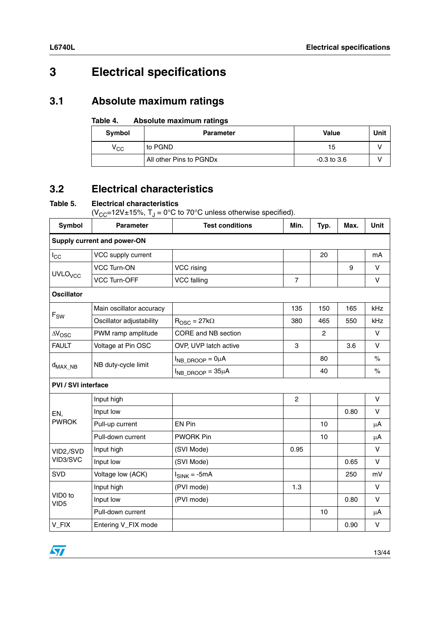## <span id="page-12-0"></span>**3 Electrical specifications**

## <span id="page-12-1"></span>**3.1 Absolute maximum ratings**

#### **Table 4. Absolute maximum ratings**

| Symbol                   | <b>Parameter</b>                    | <b>Value</b>    | Unit |
|--------------------------|-------------------------------------|-----------------|------|
| $\mathsf{v}_{\text{cc}}$ | to PGND                             | 15              |      |
|                          | All other Pins to PGND <sub>x</sub> | $-0.3$ to $3.6$ |      |

## <span id="page-12-2"></span>**3.2 Electrical characteristics**

#### **Table 5. Electrical characteristics**

( $V_{CC}$ =12V±15%,  $T_J = 0$ °C to 70°C unless otherwise specified).

| Symbol                      | <b>Parameter</b>         | <b>Test conditions</b>     | Min.           | Typ. | Max. | Unit    |  |  |
|-----------------------------|--------------------------|----------------------------|----------------|------|------|---------|--|--|
| Supply current and power-ON |                          |                            |                |      |      |         |  |  |
| $I_{\rm CC}$                | VCC supply current       |                            |                | 20   |      | mA      |  |  |
|                             | <b>VCC Turn-ON</b>       | VCC rising                 |                |      | 9    | $\vee$  |  |  |
| <b>UVLO<sub>VCC</sub></b>   | <b>VCC Turn-OFF</b>      | VCC falling                | $\overline{7}$ |      |      | V       |  |  |
| <b>Oscillator</b>           |                          |                            |                |      |      |         |  |  |
|                             | Main oscillator accuracy |                            | 135            | 150  | 165  | kHz     |  |  |
| $\mathsf{F}_{\mathsf{SW}}$  | Oscillator adjustability | $R_{\rm OSC} = 27k\Omega$  | 380            | 465  | 550  | kHz     |  |  |
| $\Delta V_{\rm OSC}$        | PWM ramp amplitude       | CORE and NB section        |                | 2    |      | V       |  |  |
| <b>FAULT</b>                | Voltage at Pin OSC       | OVP, UVP latch active      | 3              |      | 3.6  | V       |  |  |
|                             | NB duty-cycle limit      | $I_{NB\,DROOP} = 0\mu A$   |                | 80   |      | $\%$    |  |  |
| $d_{MAX\_NB}$               |                          | $I_{NB}$ DROOP = $35\mu A$ |                | 40   |      | $\%$    |  |  |
| <b>PVI / SVI interface</b>  |                          |                            |                |      |      |         |  |  |
|                             | Input high               |                            | $\overline{c}$ |      |      | V       |  |  |
| EN,                         | Input low                |                            |                |      | 0.80 | V       |  |  |
| <b>PWROK</b>                | Pull-up current          | <b>EN Pin</b>              |                | 10   |      | $\mu$ A |  |  |
|                             | Pull-down current        | <b>PWORK Pin</b>           |                | 10   |      | $\mu$ A |  |  |
| VID2,/SVD                   | Input high               | (SVI Mode)                 | 0.95           |      |      | V       |  |  |
| VID3/SVC                    | Input low                | (SVI Mode)                 |                |      | 0.65 | V       |  |  |
| <b>SVD</b>                  | Voltage low (ACK)        | $I_{SINK} = -5mA$          |                |      | 250  | mV      |  |  |
|                             | Input high               | (PVI mode)                 | 1.3            |      |      | $\vee$  |  |  |
| VID0 to<br>VID <sub>5</sub> | Input low                | (PVI mode)                 |                |      | 0.80 | V       |  |  |
|                             | Pull-down current        |                            |                | 10   |      | $\mu$ A |  |  |
| V_FIX                       | Entering V_FIX mode      |                            |                |      | 0.90 | V       |  |  |

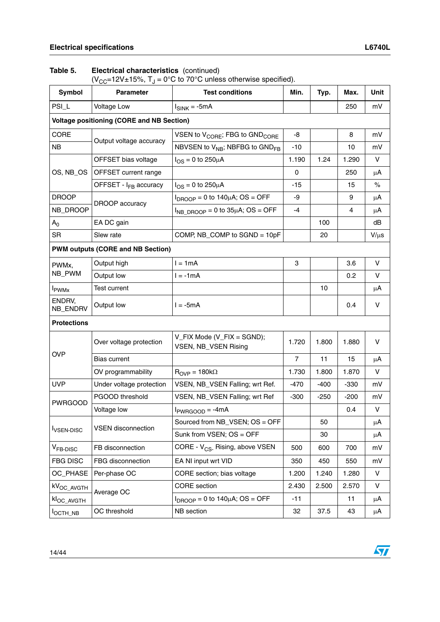| $(V_{CC} = 12V \pm 15\%, T_J = 0\degree C$ to 70°C unless otherwise specified). |                                                  |                                                        |                |        |        |           |  |  |
|---------------------------------------------------------------------------------|--------------------------------------------------|--------------------------------------------------------|----------------|--------|--------|-----------|--|--|
| <b>Symbol</b>                                                                   | <b>Parameter</b>                                 | <b>Test conditions</b>                                 | Min.           | Typ.   | Max.   | Unit      |  |  |
| PSI_L                                                                           | <b>Voltage Low</b>                               | $I_{SINK} = -5mA$                                      |                |        | 250    | mV        |  |  |
|                                                                                 | <b>Voltage positioning (CORE and NB Section)</b> |                                                        |                |        |        |           |  |  |
| <b>CORE</b>                                                                     |                                                  | VSEN to V <sub>CORE</sub> ; FBG to GND <sub>CORE</sub> | -8             |        | 8      | mV        |  |  |
| <b>NB</b>                                                                       | Output voltage accuracy                          | NBVSEN to V <sub>NB</sub> ; NBFBG to GND <sub>FB</sub> | $-10$          |        | 10     | mV        |  |  |
|                                                                                 | OFFSET bias voltage                              | $I_{OS}$ = 0 to 250 $\mu$ A                            | 1.190          | 1.24   | 1.290  | V         |  |  |
| OS, NB_OS                                                                       | OFFSET current range                             |                                                        | 0              |        | 250    | μA        |  |  |
|                                                                                 | OFFSET - I <sub>FB</sub> accuracy                | $I_{OS} = 0$ to 250 $\mu$ A                            | $-15$          |        | 15     | $\%$      |  |  |
| <b>DROOP</b>                                                                    | DROOP accuracy                                   | $I_{DROOP}$ = 0 to 140 $\mu$ A; OS = OFF               | -9             |        | 9      | μA        |  |  |
| NB_DROOP                                                                        |                                                  | $I_{NB\ DROOP} = 0$ to 35µA; OS = OFF                  | $-4$           |        | 4      | μA        |  |  |
| $A_0$                                                                           | EA DC gain                                       |                                                        |                | 100    |        | dB        |  |  |
| <b>SR</b>                                                                       | Slew rate                                        | COMP, NB_COMP to SGND = 10pF                           |                | 20     |        | $V/\mu s$ |  |  |
|                                                                                 | <b>PWM outputs (CORE and NB Section)</b>         |                                                        |                |        |        |           |  |  |
| PWMx,                                                                           | Output high                                      | $l = 1mA$                                              | 3              |        | 3.6    | V         |  |  |
| NB_PWM                                                                          | Output low                                       | $l = -1mA$                                             |                |        | 0.2    | V         |  |  |
| <b>I</b> <sub>PWMx</sub>                                                        | <b>Test current</b>                              |                                                        |                | 10     |        | μA        |  |  |
| ENDRV,<br>NB_ENDRV                                                              | Output low                                       | $l = -5mA$                                             |                |        | 0.4    | V         |  |  |
| <b>Protections</b>                                                              |                                                  |                                                        |                |        |        |           |  |  |
|                                                                                 | Over voltage protection                          | V_FIX Mode (V_FIX = SGND);<br>VSEN, NB_VSEN Rising     | 1.720          | 1.800  | 1.880  | V         |  |  |
| <b>OVP</b>                                                                      | <b>Bias current</b>                              |                                                        | $\overline{7}$ | 11     | 15     | $\mu$ A   |  |  |
|                                                                                 | OV programmability                               | $R_{OVP} = 180k\Omega$                                 | 1.730          | 1.800  | 1.870  | V         |  |  |
| <b>UVP</b>                                                                      | Under voltage protection                         | VSEN, NB_VSEN Falling; wrt Ref.                        | $-470$         | $-400$ | $-330$ | mV        |  |  |
| <b>PWRGOOD</b>                                                                  | PGOOD threshold                                  | VSEN, NB_VSEN Falling; wrt Ref                         | $-300$         | $-250$ | $-200$ | mV        |  |  |
|                                                                                 | Voltage low                                      | $I_{PWRGOOD} = -4mA$                                   |                |        | 0.4    | $\vee$    |  |  |
|                                                                                 | <b>VSEN</b> disconnection                        | Sourced from NB_VSEN; OS = OFF                         |                | 50     |        | μA        |  |  |
| <b>I</b> <sub>VSEN-DISC</sub>                                                   |                                                  | Sunk from VSEN; OS = OFF                               |                | 30     |        | μA        |  |  |
| V <sub>FB-DISC</sub>                                                            | FB disconnection                                 | CORE - V <sub>CS</sub> . Rising, above VSEN            | 500            | 600    | 700    | mV        |  |  |
| <b>FBG DISC</b>                                                                 | FBG disconnection                                | EA NI input wrt VID                                    | 350            | 450    | 550    | mV        |  |  |
| OC_PHASE                                                                        | Per-phase OC                                     | CORE section; bias voltage                             | 1.200          | 1.240  | 1.280  | V         |  |  |
| kV <sub>OC_AVGTH</sub>                                                          | Average OC                                       | <b>CORE</b> section                                    | 2.430          | 2.500  | 2.570  | V         |  |  |
| kl <sub>OC_AVGTH</sub>                                                          |                                                  | $I_{\text{DROOP}}$ = 0 to 140 $\mu$ A; OS = OFF        | $-11$          |        | 11     | μA        |  |  |
| <b>I</b> OCTH_NB                                                                | OC threshold                                     | NB section                                             | 32             | 37.5   | 43     | $\mu$ A   |  |  |

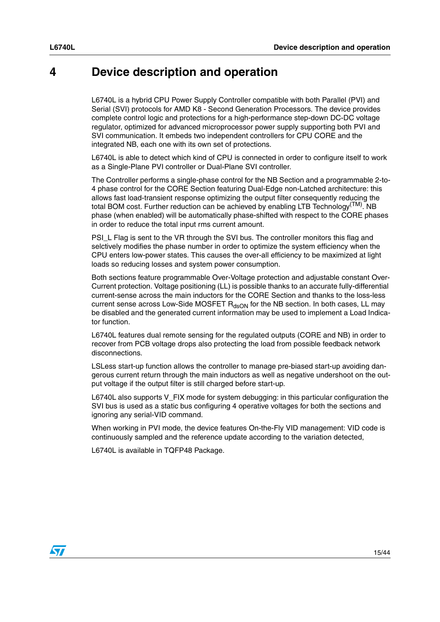## <span id="page-14-0"></span>**4 Device description and operation**

L6740L is a hybrid CPU Power Supply Controller compatible with both Parallel (PVI) and Serial (SVI) protocols for AMD K8 - Second Generation Processors. The device provides complete control logic and protections for a high-performance step-down DC-DC voltage regulator, optimized for advanced microprocessor power supply supporting both PVI and SVI communication. It embeds two independent controllers for CPU CORE and the integrated NB, each one with its own set of protections.

L6740L is able to detect which kind of CPU is connected in order to configure itself to work as a Single-Plane PVI controller or Dual-Plane SVI controller.

The Controller performs a single-phase control for the NB Section and a programmable 2-to-4 phase control for the CORE Section featuring Dual-Edge non-Latched architecture: this allows fast load-transient response optimizing the output filter consequently reducing the total BOM cost. Further reduction can be achieved by enabling LTB Technology<sup>(TM)</sup>. NB phase (when enabled) will be automatically phase-shifted with respect to the CORE phases in order to reduce the total input rms current amount.

PSI\_L Flag is sent to the VR through the SVI bus. The controller monitors this flag and selctively modifies the phase number in order to optimize the system efficiency when the CPU enters low-power states. This causes the over-all efficiency to be maximized at light loads so reducing losses and system power consumption.

Both sections feature programmable Over-Voltage protection and adjustable constant Over-Current protection. Voltage positioning (LL) is possible thanks to an accurate fully-differential current-sense across the main inductors for the CORE Section and thanks to the loss-less current sense across Low-Side MOSFET  $R_{\text{dSDN}}$  for the NB section. In both cases, LL may be disabled and the generated current information may be used to implement a Load Indicator function.

L6740L features dual remote sensing for the regulated outputs (CORE and NB) in order to recover from PCB voltage drops also protecting the load from possible feedback network disconnections.

LSLess start-up function allows the controller to manage pre-biased start-up avoiding dangerous current return through the main inductors as well as negative undershoot on the output voltage if the output filter is still charged before start-up.

L6740L also supports V\_FIX mode for system debugging: in this particular configuration the SVI bus is used as a static bus configuring 4 operative voltages for both the sections and ignoring any serial-VID command.

When working in PVI mode, the device features On-the-Fly VID management: VID code is continuously sampled and the reference update according to the variation detected,

L6740L is available in TQFP48 Package.

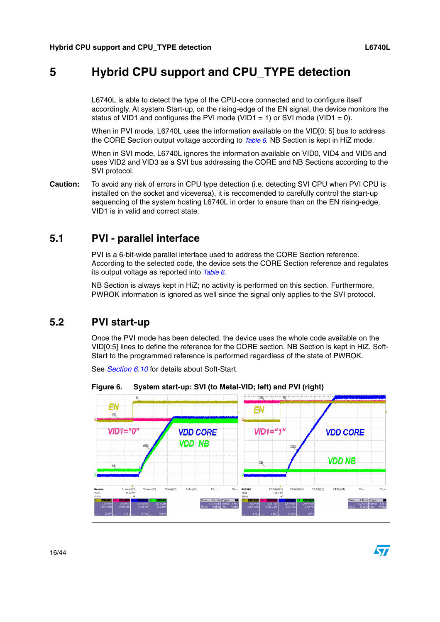$\bm \Omega$ 

## <span id="page-15-0"></span>**5 Hybrid CPU support and CPU\_TYPE detection**

L6740L is able to detect the type of the CPU-core connected and to configure itself accordingly. At system Start-up, on the rising-edge of the EN signal, the device monitors the status of VID1 and configures the PVI mode (VID1 = 1) or SVI mode (VID1 = 0).

When in PVI mode, L6740L uses the information available on the VID[0: 5] bus to address the CORE Section output voltage according to *[Table 6](#page-16-0)*. NB Section is kept in HiZ mode.

When in SVI mode, L6740L ignores the information available on VID0, VID4 and VID5 and uses VID2 and VID3 as a SVI bus addressing the CORE and NB Sections according to the SVI protocol.

**Caution:** To avoid any risk of errors in CPU type detection (i.e. detecting SVI CPU when PVI CPU is installed on the socket and viceversa), it is reccomended to carefully control the start-up sequencing of the system hosting L6740L in order to ensure than on the EN rising-edge, VID1 is in valid and correct state.

## <span id="page-15-1"></span>**5.1 PVI - parallel interface**

PVI is a 6-bit-wide parallel interface used to address the CORE Section reference. According to the selected code, the device sets the CORE Section reference and regulates its output voltage as reported into *[Table 6](#page-16-0)*.

NB Section is always kept in HiZ; no activity is performed on this section. Furthermore, PWROK information is ignored as well since the signal only applies to the SVI protocol.

## <span id="page-15-2"></span>**5.2 PVI start-up**

Once the PVI mode has been detected, the device uses the whole code available on the VID[0:5] lines to define the reference for the CORE section. NB Section is kept in HiZ. Soft-Start to the programmed reference is performed regardless of the state of PWROK.

See *[Section 6.10](#page-29-0)* for details about Soft-Start.



**Figure 6. System start-up: SVI (to Metal-VID; left) and PVI (right)**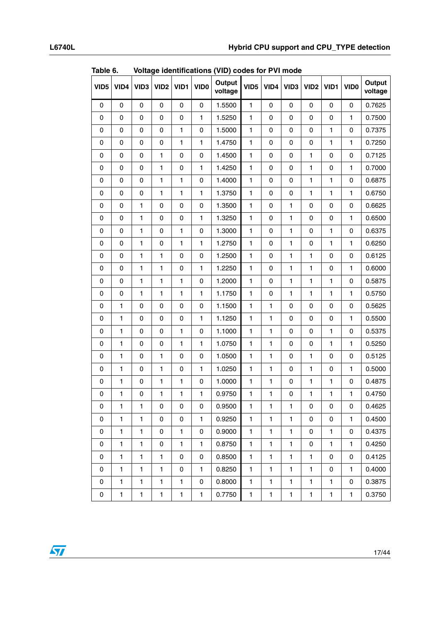| VID <sub>5</sub> | VID4         | VID <sub>3</sub> | VID <sub>2</sub> | VID1         | VID <sub>0</sub> | Output<br>voltage | VID <sub>5</sub> | VID4         | VID <sub>3</sub> | VID <sub>2</sub> | VID1         | VID <sub>0</sub> | Output<br>voltage |
|------------------|--------------|------------------|------------------|--------------|------------------|-------------------|------------------|--------------|------------------|------------------|--------------|------------------|-------------------|
| 0                | $\pmb{0}$    | 0                | 0                | 0            | 0                | 1.5500            | 1                | $\mathbf 0$  | 0                | 0                | 0            | $\mathbf 0$      | 0.7625            |
| 0                | $\pmb{0}$    | 0                | 0                | 0            | $\mathbf{1}$     | 1.5250            | $\mathbf{1}$     | 0            | 0                | 0                | $\pmb{0}$    | 1                | 0.7500            |
| 0                | $\mathbf 0$  | 0                | 0                | $\mathbf{1}$ | 0                | 1.5000            | $\mathbf{1}$     | $\mathsf 0$  | $\mathsf 0$      | $\mathsf 0$      | $\mathbf{1}$ | $\pmb{0}$        | 0.7375            |
| 0                | $\mathbf 0$  | 0                | 0                | 1            | 1                | 1.4750            | $\mathbf{1}$     | 0            | 0                | 0                | $\mathbf{1}$ | $\mathbf{1}$     | 0.7250            |
| 0                | $\pmb{0}$    | 0                | $\mathbf{1}$     | 0            | $\pmb{0}$        | 1.4500            | $\mathbf{1}$     | $\mathsf 0$  | 0                | $\mathbf{1}$     | 0            | $\pmb{0}$        | 0.7125            |
| 0                | 0            | 0                | $\mathbf{1}$     | 0            | 1                | 1.4250            | 1                | 0            | 0                | 1                | $\mathsf 0$  | 1                | 0.7000            |
| 0                | $\mathbf 0$  | 0                | 1                | 1            | 0                | 1.4000            | 1                | $\mathbf 0$  | 0                | 1                | 1            | $\mathbf 0$      | 0.6875            |
| 0                | $\mathbf 0$  | 0                | $\mathbf{1}$     | $\mathbf{1}$ | $\mathbf{1}$     | 1.3750            | $\mathbf{1}$     | $\mathsf 0$  | $\mathsf 0$      | $\mathbf{1}$     | $\mathbf{1}$ | $\mathbf{1}$     | 0.6750            |
| 0                | $\mathbf 0$  | 1                | 0                | 0            | 0                | 1.3500            | $\mathbf{1}$     | 0            | 1                | $\mathsf 0$      | $\pmb{0}$    | $\pmb{0}$        | 0.6625            |
| $\mathbf 0$      | $\mathbf 0$  | $\mathbf{1}$     | 0                | 0            | 1                | 1.3250            | $\mathbf{1}$     | 0            | 1                | 0                | $\pmb{0}$    | $\mathbf{1}$     | 0.6500            |
| 0                | $\mathsf 0$  | $\mathbf{1}$     | 0                | 1            | 0                | 1.3000            | $\mathbf{1}$     | $\mathsf 0$  | 1                | $\mathsf 0$      | $\mathbf{1}$ | $\pmb{0}$        | 0.6375            |
| 0                | 0            | 1                | 0                | 1            | 1                | 1.2750            | 1                | 0            | 1                | 0                | 1            | 1                | 0.6250            |
| 0                | 0            | 1                | 1                | 0            | 0                | 1.2500            | 1                | $\mathbf 0$  | $\mathbf{1}$     | 1                | 0            | 0                | 0.6125            |
| $\mathbf 0$      | $\mathbf 0$  | 1                | $\mathbf{1}$     | 0            | 1                | 1.2250            | $\mathbf{1}$     | 0            | $\mathbf{1}$     | $\mathbf{1}$     | $\mathsf 0$  | 1                | 0.6000            |
| 0                | 0            | $\mathbf{1}$     | $\mathbf{1}$     | 1            | 0                | 1.2000            | $\mathbf{1}$     | $\mathsf 0$  | 1                | $\mathbf{1}$     | $\mathbf{1}$ | $\pmb{0}$        | 0.5875            |
| 0                | $\mathbf 0$  | 1                | $\mathbf{1}$     | 1            | 1                | 1.1750            | $\mathbf{1}$     | 0            | 1                | 1                | $\mathbf{1}$ | 1                | 0.5750            |
| 0                | $\mathbf{1}$ | 0                | 0                | $\mathsf 0$  | 0                | 1.1500            | $\mathbf{1}$     | $\mathbf{1}$ | $\mathsf 0$      | $\mathsf 0$      | 0            | $\pmb{0}$        | 0.5625            |
| 0                | $\mathbf{1}$ | 0                | 0                | 0            | 1                | 1.1250            | 1                | 1            | 0                | 0                | 0            | 1                | 0.5500            |
| 0                | 1            | 0                | 0                | 1            | 0                | 1.1000            | 1                | 1            | 0                | 0                | 1            | 0                | 0.5375            |
| $\mathbf 0$      | $\mathbf{1}$ | 0                | 0                | $\mathbf{1}$ | 1                | 1.0750            | $\mathbf{1}$     | $\mathbf{1}$ | 0                | 0                | $\mathbf{1}$ | 1                | 0.5250            |
| $\mathbf 0$      | $\mathbf{1}$ | 0                | $\mathbf{1}$     | 0            | 0                | 1.0500            | $\mathbf{1}$     | $\mathbf{1}$ | 0                | $\mathbf{1}$     | 0            | $\mathbf 0$      | 0.5125            |
| $\mathbf 0$      | $\mathbf{1}$ | 0                | $\mathbf{1}$     | 0            | 1                | 1.0250            | $\mathbf{1}$     | $\mathbf{1}$ | 0                | $\mathbf{1}$     | $\pmb{0}$    | $\mathbf{1}$     | 0.5000            |
| 0                | $\mathbf{1}$ | 0                | $\mathbf{1}$     | 1            | 0                | 1.0000            | $\mathbf{1}$     | $\mathbf{1}$ | 0                | $\mathbf{1}$     | $\mathbf{1}$ | $\pmb{0}$        | 0.4875            |
| $\pmb{0}$        | $\mathbf{1}$ | 0                | $\mathbf{1}$     | 1            | 1                | 0.9750            | 1                | 1            | 0                | 1                | 1            | 1                | 0.4750            |
| 0                | 1            | 1                | 0                | 0            | 0                | 0.9500            | 1.               | 1            | 1                | 0                | 0            | 0                | 0.4625            |
| 0                | $\mathbf{1}$ | $\mathbf{1}$     | 0                | 0            | $\mathbf{1}$     | 0.9250            | 1                | $\mathbf{1}$ | 1                | 0                | 0            | 1                | 0.4500            |
| 0                | $\mathbf{1}$ | $\mathbf{1}$     | 0                | $\mathbf{1}$ | 0                | 0.9000            | $\mathbf{1}$     | $\mathbf{1}$ | 1                | 0                | 1            | 0                | 0.4375            |
| 0                | $\mathbf{1}$ | $\mathbf{1}$     | 0                | $\mathbf{1}$ | 1                | 0.8750            | $\mathbf{1}$     | $\mathbf{1}$ | 1                | 0                | $\mathbf{1}$ | 1                | 0.4250            |
| 0                | $\mathbf{1}$ | $\mathbf{1}$     | $\mathbf{1}$     | 0            | 0                | 0.8500            | $\mathbf{1}$     | $\mathbf{1}$ | $\mathbf{1}$     | $\mathbf{1}$     | 0            | $\pmb{0}$        | 0.4125            |
| 0                | 1            | 1                | 1                | 0            | 1                | 0.8250            | 1                | 1            | 1                | 1                | 0            | 1                | 0.4000            |
| 0                | $\mathbf{1}$ | 1                | 1                | 1            | 0                | 0.8000            | 1                | $\mathbf{1}$ | 1                | 1                | 1            | 0                | 0.3875            |
| 0                | $\mathbf{1}$ | $\mathbf{1}$     | $\mathbf{1}$     | $\mathbf{1}$ | $\mathbf{1}$     | 0.7750            | $\mathbf{1}$     | $\mathbf{1}$ | $\mathbf{1}$     | $\mathbf{1}$     | $\mathbf{1}$ | $\mathbf{1}$     | 0.3750            |

<span id="page-16-0"></span>**Table 6. Voltage identifications (VID) codes for PVI mode** 

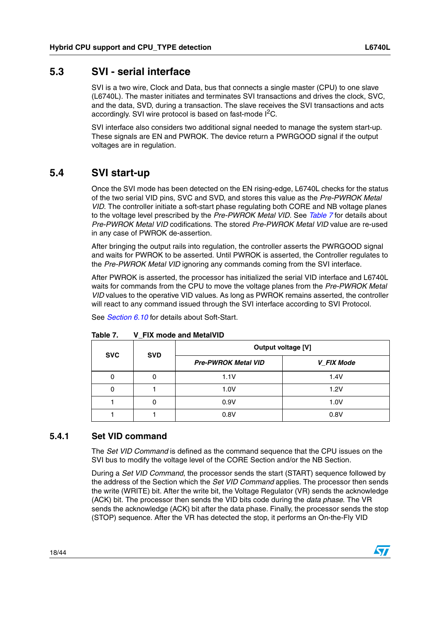### <span id="page-17-0"></span>**5.3 SVI - serial interface**

SVI is a two wire, Clock and Data, bus that connects a single master (CPU) to one slave (L6740L). The master initiates and terminates SVI transactions and drives the clock, SVC, and the data, SVD, during a transaction. The slave receives the SVI transactions and acts accordingly. SVI wire protocol is based on fast-mode  $I^2C$ .

SVI interface also considers two additional signal needed to manage the system start-up. These signals are EN and PWROK. The device return a PWRGOOD signal if the output voltages are in regulation.

## <span id="page-17-1"></span>**5.4 SVI start-up**

Once the SVI mode has been detected on the EN rising-edge, L6740L checks for the status of the two serial VID pins, SVC and SVD, and stores this value as the *Pre-PWROK Metal VID*. The controller initiate a soft-start phase regulating both CORE and NB voltage planes to the voltage level prescribed by the *Pre-PWROK Metal VID*. See *[Table 7](#page-17-3)* for details about *Pre-PWROK Metal VID* codifications. The stored *Pre-PWROK Metal VID* value are re-used in any case of PWROK de-assertion.

After bringing the output rails into regulation, the controller asserts the PWRGOOD signal and waits for PWROK to be asserted. Until PWROK is asserted, the Controller regulates to the *Pre-PWROK Metal VID* ignoring any commands coming from the SVI interface.

After PWROK is asserted, the processor has initialized the serial VID interface and L6740L waits for commands from the CPU to move the voltage planes from the *Pre-PWROK Metal VID* values to the operative VID values. As long as PWROK remains asserted, the controller will react to any command issued through the SVI interface according to SVI Protocol.

See *[Section 6.10](#page-29-0)* for details about Soft-Start.

| <b>SVC</b> | <b>SVD</b> | Output voltage [V]         |            |  |  |  |
|------------|------------|----------------------------|------------|--|--|--|
|            |            | <b>Pre-PWROK Metal VID</b> | V FIX Mode |  |  |  |
|            | 0          | 1.1V                       | 1.4V       |  |  |  |
|            |            | 1.0V                       | 1.2V       |  |  |  |
|            | o          | 0.9V                       | 1.0V       |  |  |  |
|            |            | 0.8V                       | 0.8V       |  |  |  |

<span id="page-17-3"></span>**Table 7. V\_FIX mode and MetalVID**

#### <span id="page-17-2"></span>**5.4.1 Set VID command**

The *Set VID Command* is defined as the command sequence that the CPU issues on the SVI bus to modify the voltage level of the CORE Section and/or the NB Section.

During a *Set VID Command*, the processor sends the start (START) sequence followed by the address of the Section which the *Set VID Command* applies. The processor then sends the write (WRITE) bit. After the write bit, the Voltage Regulator (VR) sends the acknowledge (ACK) bit. The processor then sends the VID bits code during the *data phase*. The VR sends the acknowledge (ACK) bit after the data phase. Finally, the processor sends the stop (STOP) sequence. After the VR has detected the stop, it performs an On-the-Fly VID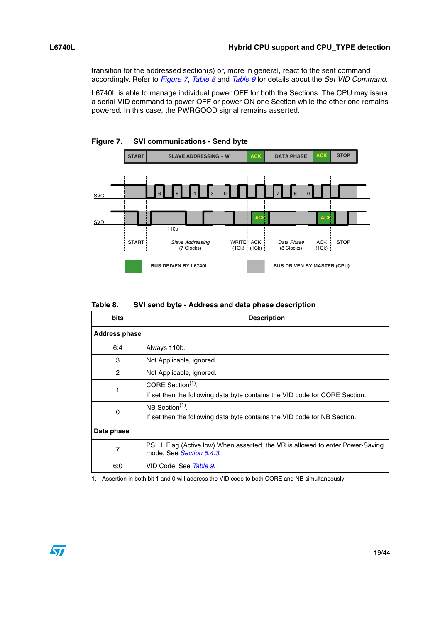transition for the addressed section(s) or, more in general, react to the sent command accordingly. Refer to *[Figure 7](#page-18-0)*, *[Table 8](#page-18-1)* and *[Table 9](#page-19-0)* for details about the *Set VID Command.*

L6740L is able to manage individual power OFF for both the Sections. The CPU may issue a serial VID command to power OFF or power ON one Section while the other one remains powered. In this case, the PWRGOOD signal remains asserted.



<span id="page-18-0"></span>**Figure 7. SVI communications - Send byte**

<span id="page-18-1"></span>

| Table 8. | SVI send byte - Address and data phase description |
|----------|----------------------------------------------------|
|----------|----------------------------------------------------|

| <b>bits</b>          | <b>Description</b>                                                                                           |  |  |  |  |  |
|----------------------|--------------------------------------------------------------------------------------------------------------|--|--|--|--|--|
| <b>Address phase</b> |                                                                                                              |  |  |  |  |  |
| 6:4                  | Always 110b.                                                                                                 |  |  |  |  |  |
| 3                    | Not Applicable, ignored.                                                                                     |  |  |  |  |  |
| 2                    | Not Applicable, ignored.                                                                                     |  |  |  |  |  |
| 1                    | CORE Section <sup>(1)</sup> .<br>If set then the following data byte contains the VID code for CORE Section. |  |  |  |  |  |
| 0                    | NB Section $(1)$ .<br>If set then the following data byte contains the VID code for NB Section.              |  |  |  |  |  |
| Data phase           |                                                                                                              |  |  |  |  |  |
| 7                    | PSI_L Flag (Active low). When asserted, the VR is allowed to enter Power-Saving<br>mode. See Section 5.4.3.  |  |  |  |  |  |
| 6:0                  | VID Code. See Table 9.                                                                                       |  |  |  |  |  |

1. Assertion in both bit 1 and 0 will address the VID code to both CORE and NB simultaneously.

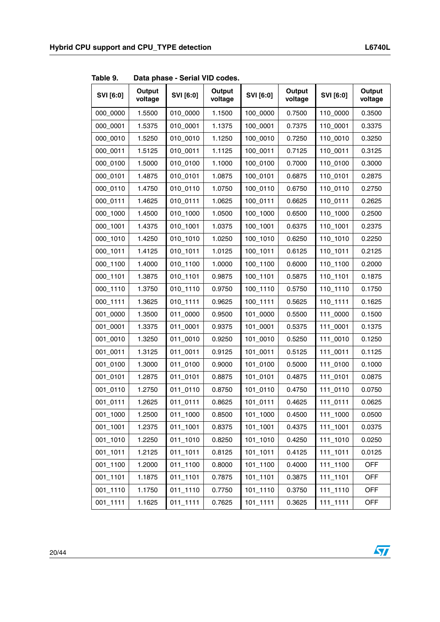<span id="page-19-0"></span>**Table 9. Data phase - Serial VID codes.** 

| SVI [6:0] | Output<br>voltage | SVI [6:0]  | Output<br>voltage | SVI [6:0]    | Output<br>voltage | SVI [6:0]   | Output<br>voltage |
|-----------|-------------------|------------|-------------------|--------------|-------------------|-------------|-------------------|
| 000_0000  | 1.5500            | 010_0000   | 1.1500            | 100_0000     | 0.7500            | 110_0000    | 0.3500            |
| 000_0001  | 1.5375            | 010_0001   | 1.1375            | 100_0001     | 0.7375            | 110_0001    | 0.3375            |
| 000_0010  | 1.5250            | 010_0010   | 1.1250            | 100_0010     | 0.7250            | 110_0010    | 0.3250            |
| 000_0011  | 1.5125            | 010_0011   | 1.1125            | 100_0011     | 0.7125            | 110_0011    | 0.3125            |
| 000_0100  | 1.5000            | 010_0100   | 1.1000            | 100_0100     | 0.7000            | 110_0100    | 0.3000            |
| 000_0101  | 1.4875            | 010_0101   | 1.0875            | 100_0101     | 0.6875            | 110_0101    | 0.2875            |
| 000_0110  | 1.4750            | 010_0110   | 1.0750            | 100_0110     | 0.6750            | 110_0110    | 0.2750            |
| 000_0111  | 1.4625            | 010_0111   | 1.0625            | 100_0111     | 0.6625            | 110_0111    | 0.2625            |
| 000_1000  | 1.4500            | 010_1000   | 1.0500            | 100_1000     | 0.6500            | 110_1000    | 0.2500            |
| 000_1001  | 1.4375            | 010_1001   | 1.0375            | 100_1001     | 0.6375            | 110_1001    | 0.2375            |
| 000_1010  | 1.4250            | 010_1010   | 1.0250            | 100_1010     | 0.6250            | 110_1010    | 0.2250            |
| 000_1011  | 1.4125            | 010_1011   | 1.0125            | 100_1011     | 0.6125            | 110_1011    | 0.2125            |
| 000_1100  | 1.4000            | 010_1100   | 1.0000            | 100_1100     | 0.6000            | 110_1100    | 0.2000            |
| 000_1101  | 1.3875            | 010_1101   | 0.9875            | 100_1101     | 0.5875            | 110_1101    | 0.1875            |
| 000_1110  | 1.3750            | 010_1110   | 0.9750            | 100_1110     | 0.5750            | 110_1110    | 0.1750            |
| 000_1111  | 1.3625            | 010_1111   | 0.9625            | 100_1111     | 0.5625            | 110_1111    | 0.1625            |
| 001_0000  | 1.3500            | 011_0000   | 0.9500            | 101_0000     | 0.5500            | 111_0000    | 0.1500            |
| 001_0001  | 1.3375            | 011_0001   | 0.9375            | 101_0001     | 0.5375            | 111_0001    | 0.1375            |
| 001_0010  | 1.3250            | 011_0010   | 0.9250            | 101_0010     | 0.5250            | 111_0010    | 0.1250            |
| 001_0011  | 1.3125            | 011_0011   | 0.9125            | 101_0011     | 0.5125            | 111_0011    | 0.1125            |
| 001_0100  | 1.3000            | 011_0100   | 0.9000            | 101_0100     | 0.5000            | 111_0100    | 0.1000            |
| 001_0101  | 1.2875            | 011_0101   | 0.8875            | 101_0101     | 0.4875            | 111_0101    | 0.0875            |
| 001_0110  | 1.2750            | 011_0110   | 0.8750            | 101_0110     | 0.4750            | 111_0110    | 0.0750            |
| 001_0111  | 1.2625            | 011_0111   | 0.8625            | 101_0111     | 0.4625            | 111_0111    | 0.0625            |
| 001_1000  | 1.2500            | 011_1000   | 0.8500            | 101_1000     | 0.4500            | 111_1000    | 0.0500            |
| 001_1001  | 1.2375            | 011_1001   | 0.8375            | $101 - 1001$ | 0.4375            | 111_1001    | 0.0375            |
| 001_1010  | 1.2250            | 011_1010   | 0.8250            | 101_1010     | 0.4250            | 111_1010    | 0.0250            |
| 001_1011  | 1.2125            | $011_1011$ | 0.8125            | 101_1011     | 0.4125            | 111_1011    | 0.0125            |
| 001_1100  | 1.2000            | 011_1100   | 0.8000            | 101_1100     | 0.4000            | 111_1100    | <b>OFF</b>        |
| 001_1101  | 1.1875            | 011_1101   | 0.7875            | 101_1101     | 0.3875            | 111_1101    | <b>OFF</b>        |
| 001_1110  | 1.1750            | 011_1110   | 0.7750            | 101_1110     | 0.3750            | 111_1110    | <b>OFF</b>        |
| 001_1111  | 1.1625            | 011_1111   | 0.7625            | $101 - 1111$ | 0.3625            | $111_11111$ | <b>OFF</b>        |

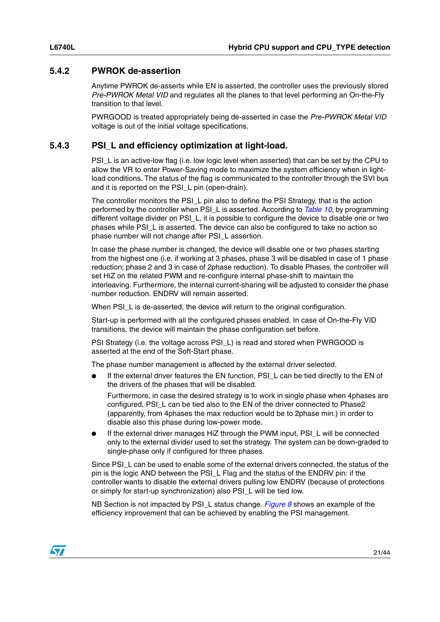#### <span id="page-20-0"></span>**5.4.2 PWROK de-assertion**

Anytime PWROK de-asserts while EN is asserted, the controller uses the previously stored *Pre-PWROK Metal VID* and regulates all the planes to that level performing an On-the-Fly transition to that level.

PWRGOOD is treated appropriately being de-asserted in case the *Pre-PWROK Metal VID*  voltage is out of the initial voltage specifications.

#### <span id="page-20-1"></span>**5.4.3 PSI\_L and efficiency optimization at light-load.**

PSI\_L is an active-low flag (i.e. low logic level when asserted) that can be set by the CPU to allow the VR to enter Power-Saving mode to maximize the system efficiency when in lightload conditions. The status of the flag is communicated to the controller through the SVI bus and it is reported on the PSI\_L pin (open-drain).

The controller monitors the PSI L pin also to define the PSI Strategy, that is the action performed by the controller when PSI\_L is asserted. According to *[Table 10](#page-21-2)*, by programming different voltage divider on PSI\_L, it is possible to configure the device to disable one or two phases while PSI\_L is asserted. The device can also be configured to take no action so phase number will not change after PSI\_L assertion.

In case the phase number is changed, the device will disable one or two phases starting from the highest one (i.e. if working at 3 phases, phase 3 will be disabled in case of 1 phase reduction; phase 2 and 3 in case of 2phase reduction). To disable Phases, the controller will set HiZ on the related PWM and re-configure internal phase-shift to maintain the interleaving. Furthermore, the internal current-sharing will be adjusted to consider the phase number reduction. ENDRV will remain asserted.

When PSI L is de-asserted, the device will return to the original configuration.

Start-up is performed with all the configured phases enabled. In case of On-the-Fly VID transitions, the device will maintain the phase configuration set before.

PSI Strategy (i.e. the voltage across PSI\_L) is read and stored when PWRGOOD is asserted at the end of the Soft-Start phase.

The phase number management is affected by the external driver selected.

If the external driver features the EN function, PSI\_L can be tied directly to the EN of the drivers of the phases that will be disabled.

Furthermore, in case the desired strategy is to work in single phase when 4phases are configured, PSI\_L can be tied also to the EN of the driver connected to Phase2 (apparently, from 4phases the max reduction would be to 2phase min.) in order to disable also this phase during low-power mode.

If the external driver manages HiZ through the PWM input, PSI\_L will be connected only to the external divider used to set the strategy. The system can be down-graded to single-phase only if configured for three phases.

Since PSI\_L can be used to enable some of the external drivers connected, the status of the pin is the logic AND between the PSI\_L Flag and the status of the ENDRV pin: if the controller wants to disable the external drivers pulling low ENDRV (because of protections or simply for start-up synchronization) also PSI\_L will be tied low.

NB Section is not impacted by PSI\_L status change. *[Figure 8](#page-21-3)* shows an example of the efficiency improvement that can be achieved by enabling the PSI management.

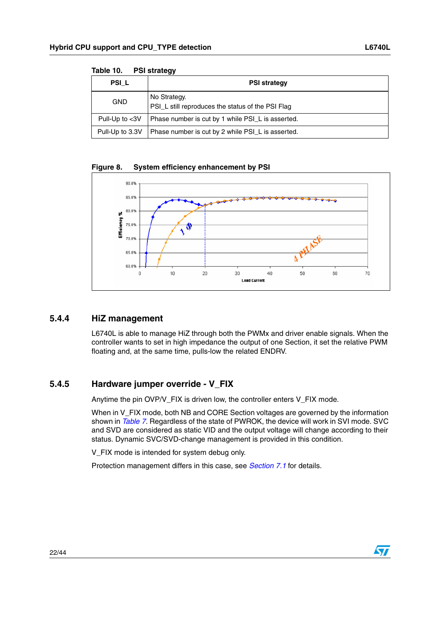| .<br>.            |                                                                   |  |  |  |  |
|-------------------|-------------------------------------------------------------------|--|--|--|--|
| PSI L             | <b>PSI strategy</b>                                               |  |  |  |  |
| <b>GND</b>        | No Strategy.<br>PSI_L still reproduces the status of the PSI Flag |  |  |  |  |
| Pull-Up to $<$ 3V | Phase number is cut by 1 while PSI_L is asserted.                 |  |  |  |  |
| Pull-Up to 3.3V   | Phase number is cut by 2 while PSI_L is asserted.                 |  |  |  |  |

<span id="page-21-2"></span>**Table 10. PSI strategy**

<span id="page-21-3"></span>



#### <span id="page-21-0"></span>**5.4.4 HiZ management**

L6740L is able to manage HiZ through both the PWMx and driver enable signals. When the controller wants to set in high impedance the output of one Section, it set the relative PWM floating and, at the same time, pulls-low the related ENDRV.

#### <span id="page-21-1"></span>**5.4.5 Hardware jumper override - V\_FIX**

Anytime the pin OVP/V\_FIX is driven low, the controller enters V\_FIX mode.

When in V\_FIX mode, both NB and CORE Section voltages are governed by the information shown in *[Table 7](#page-17-3)*. Regardless of the state of PWROK, the device will work in SVI mode. SVC and SVD are considered as static VID and the output voltage will change according to their status. Dynamic SVC/SVD-change management is provided in this condition.

V\_FIX mode is intended for system debug only.

Protection management differs in this case, see *[Section 7.1](#page-30-1)* for details.

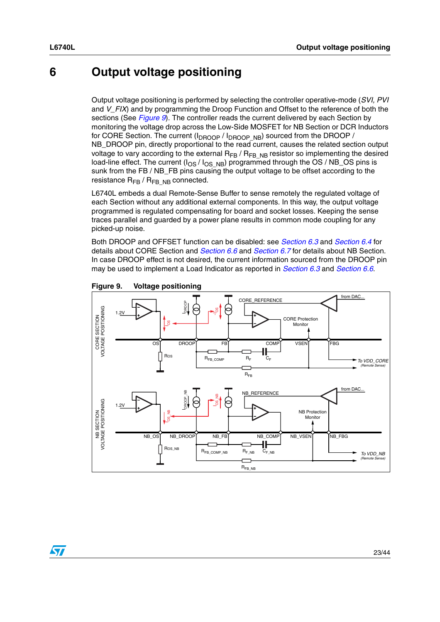$\sqrt{2}$ 

## <span id="page-22-0"></span>**6 Output voltage positioning**

Output voltage positioning is performed by selecting the controller operative-mode (*SVI, PVI*  and *V\_FIX*) and by programming the Droop Function and Offset to the reference of both the sections (See *[Figure 9](#page-22-1)*). The controller reads the current delivered by each Section by monitoring the voltage drop across the Low-Side MOSFET for NB Section or DCR Inductors for CORE Section. The current  $(I_{DROOP}/I_{DROOP-NB})$  sourced from the DROOP / NB\_DROOP pin, directly proportional to the read current, causes the related section output voltage to vary according to the external  $R_{FB}$  /  $R_{FB\_NB}$  resistor so implementing the desired load-line effect. The current  $(I<sub>OS</sub> / I<sub>OS-NB</sub>)$  programmed through the OS / NB\_OS pins is sunk from the FB / NB\_FB pins causing the output voltage to be offset according to the resistance  $R_{FB}$  /  $R_{FB}$   $_{NB}$  connected.

L6740L embeds a dual Remote-Sense Buffer to sense remotely the regulated voltage of each Section without any additional external components. In this way, the output voltage programmed is regulated compensating for board and socket losses. Keeping the sense traces parallel and guarded by a power plane results in common mode coupling for any picked-up noise.

Both DROOP and OFFSET function can be disabled: see *[Section 6.3](#page-24-0)* and *[Section 6.4](#page-25-0)* for details about CORE Section and *[Section 6.6](#page-26-0)* and *[Section 6.7](#page-26-1)* for details about NB Section. In case DROOP effect is not desired, the current information sourced from the DROOP pin may be used to implement a Load Indicator as reported in *[Section 6.3](#page-24-0)* and *[Section 6.6](#page-26-0)*.



<span id="page-22-1"></span>**Figure 9. Voltage positioning**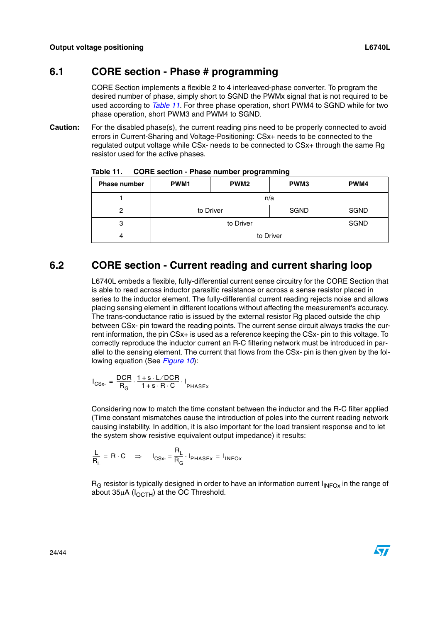#### <span id="page-23-0"></span>**6.1 CORE section - Phase # programming**

CORE Section implements a flexible 2 to 4 interleaved-phase converter. To program the desired number of phase, simply short to SGND the PWMx signal that is not required to be used according to *[Table 11](#page-23-2)*. For three phase operation, short PWM4 to SGND while for two phase operation, short PWM3 and PWM4 to SGND.

**Caution:** For the disabled phase(s), the current reading pins need to be properly connected to avoid errors in Current-Sharing and Voltage-Positioning: CSx+ needs to be connected to the regulated output voltage while CSx- needs to be connected to CSx+ through the same Rg resistor used for the active phases.

| <b>Phase number</b> | <b>PWM1</b> | PWM <sub>2</sub> | PWM3      | PWM4        |  |
|---------------------|-------------|------------------|-----------|-------------|--|
|                     |             |                  | n/a       |             |  |
| 2                   |             | to Driver        | SGND      | <b>SGND</b> |  |
| 3                   |             | to Driver        |           | <b>SGND</b> |  |
|                     |             |                  | to Driver |             |  |

<span id="page-23-2"></span>**Table 11. CORE section - Phase number programming**

## <span id="page-23-1"></span>**6.2 CORE section - Current reading and current sharing loop**

L6740L embeds a flexible, fully-differential current sense circuitry for the CORE Section that is able to read across inductor parasitic resistance or across a sense resistor placed in series to the inductor element. The fully-differential current reading rejects noise and allows placing sensing element in different locations without affecting the measurement's accuracy. The trans-conductance ratio is issued by the external resistor Rg placed outside the chip between CSx- pin toward the reading points. The current sense circuit always tracks the current information, the pin CSx+ is used as a reference keeping the CSx- pin to this voltage. To correctly reproduce the inductor current an R-C filtering network must be introduced in parallel to the sensing element. The current that flows from the CSx- pin is then given by the following equation (See *[Figure 10](#page-24-1)*):

$$
I_{CSx} = \frac{DCR}{R_G} \cdot \frac{1+s \cdot L/DCR}{1+s \cdot R \cdot C} \cdot I_{PHASEx}
$$

Considering now to match the time constant between the inductor and the R-C filter applied (Time constant mismatches cause the introduction of poles into the current reading network causing instability. In addition, it is also important for the load transient response and to let the system show resistive equivalent output impedance) it results:

$$
\frac{L}{R_L} = R \cdot C \quad \Rightarrow \quad I_{CSx} = \frac{R_L}{R_G} \cdot I_{PHASEx} = I_{INFOx}
$$

 $R<sub>G</sub>$  resistor is typically designed in order to have an information current  $I<sub>INFOX</sub>$  in the range of about  $35\mu A$  ( $I_{\Omega \text{CH}}$ ) at the OC Threshold.

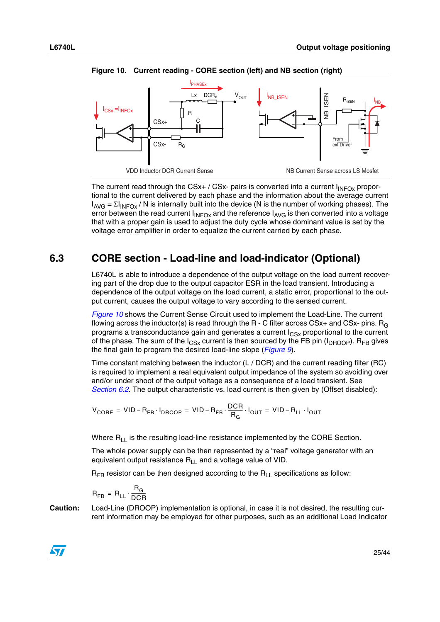



<span id="page-24-1"></span>**Figure 10. Current reading - CORE section (left) and NB section (right)**

The current read through the CSx+ / CSx- pairs is converted into a current  $I_{INFOX}$  proportional to the current delivered by each phase and the information about the average current  $I_{AVG} = \Sigma I_{INFOX}$  / N is internally built into the device (N is the number of working phases). The error between the read current  $I_{\text{INFOX}}$  and the reference  $I_{\text{AVG}}$  is then converted into a voltage that with a proper gain is used to adjust the duty cycle whose dominant value is set by the voltage error amplifier in order to equalize the current carried by each phase.

## <span id="page-24-0"></span>**6.3 CORE section - Load-line and load-indicator (Optional)**

L6740L is able to introduce a dependence of the output voltage on the load current recovering part of the drop due to the output capacitor ESR in the load transient. Introducing a dependence of the output voltage on the load current, a static error, proportional to the output current, causes the output voltage to vary according to the sensed current.

*[Figure 10](#page-24-1)* shows the Current Sense Circuit used to implement the Load-Line. The current flowing across the inductor(s) is read through the R - C filter across  $CSx+$  and  $CSx-$  pins.  $R_G$ programs a transconductance gain and generates a current  $I_{CSX}$  proportional to the current of the phase. The sum of the  $I_{CSx}$  current is then sourced by the FB pin ( $I_{DROOP}$ ). R<sub>FB</sub> gives the final gain to program the desired load-line slope (*[Figure 9](#page-22-1)*).

Time constant matching between the inductor (L / DCR) and the current reading filter (RC) is required to implement a real equivalent output impedance of the system so avoiding over and/or under shoot of the output voltage as a consequence of a load transient. See *[Section 6.2](#page-23-1)*. The output characteristic vs. load current is then given by (Offset disabled):

$$
V_{\text{CORE}} = \text{VID} - R_{\text{FB}} \cdot I_{\text{DROOP}} = \text{VID} - R_{\text{FB}} \cdot \frac{\text{DCR}}{R_{\text{G}}} \cdot I_{\text{OUT}} = \text{VID} - R_{\text{LL}} \cdot I_{\text{OUT}}
$$

Where  $R_{LL}$  is the resulting load-line resistance implemented by the CORE Section.

The whole power supply can be then represented by a "real" voltage generator with an equivalent output resistance  $R_{L}$  and a voltage value of VID.

 $R_{FR}$  resistor can be then designed according to the  $R_{L}$  specifications as follow:

$$
R_{FB} = R_{LL} \cdot \frac{R_G}{DCR}
$$

**Caution:** Load-Line (DROOP) implementation is optional, in case it is not desired, the resulting cur-

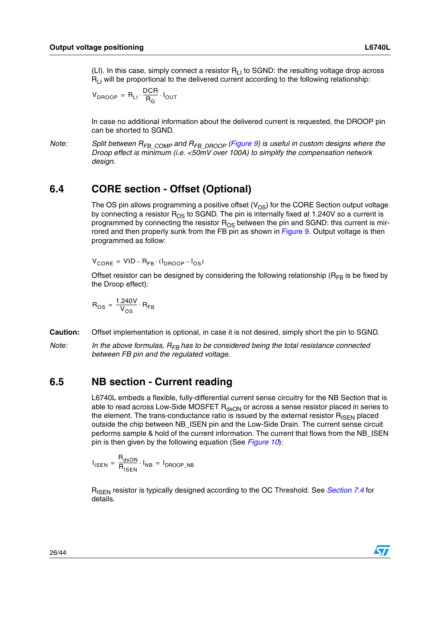(LI). In this case, simply connect a resistor  $R<sub>11</sub>$  to SGND: the resulting voltage drop across  $R<sub>1</sub>$  will be proportional to the delivered current according to the following relationship:

$$
V_{DROOP} = R_{LI} \cdot \frac{DCR}{R_G} \cdot I_{OUT}
$$

In case no additional information about the delivered current is requested, the DROOP pin can be shorted to SGND.

*Note:* Split between R<sub>FB\_COMP</sub> and R<sub>FB\_DROOP</sub> ([Figure 9](#page-22-1)) is useful in custom designs where the *Droop effect is minimum (i.e. <50mV over 100A) to simplify the compensation network design.*

### <span id="page-25-0"></span>**6.4 CORE section - Offset (Optional)**

The OS pin allows programming a positive offset  $(V_{OS})$  for the CORE Section output voltage by connecting a resistor  $R_{OS}$  to SGND. The pin is internally fixed at 1.240V so a current is programmed by connecting the resistor  $R_{OS}$  between the pin and SGND: this current is mir-rored and then properly sunk from the FB pin as shown in [Figure 9.](#page-22-1) Output voltage is then programmed as follow:

 $V_{\text{CORE}} = \text{VID} - \text{R}_{\text{FB}} \cdot (\text{I}_{\text{DROOP}} - \text{I}_{\text{OS}})$ 

Offset resistor can be designed by considering the following relationship ( $R_{FR}$  is be fixed by the Droop effect):

$$
R_{OS} = \frac{1.240V}{V_{OS}} \cdot R_{FB}
$$

- **Caution:** Offset implementation is optional, in case it is not desired, simply short the pin to SGND.
- Note: In the above formulas, R<sub>FB</sub> has to be considered being the total resistance connected *between FB pin and the regulated voltage.*

#### <span id="page-25-1"></span>**6.5 NB section - Current reading**

L6740L embeds a flexible, fully-differential current sense circuitry for the NB Section that is able to read across Low-Side MOSFET  $R_{dSDN}$  or across a sense resistor placed in series to the element. The trans-conductance ratio is issued by the external resistor  $R_{\text{ISFN}}$  placed outside the chip between NB\_ISEN pin and the Low-Side Drain. The current sense circuit performs sample & hold of the current information. The current that flows from the NB\_ISEN pin is then given by the following equation (See *[Figure 10](#page-24-1)*):

 $I_{\text{ISEN}} = \frac{R_{\text{dSDN}}}{R_{\text{SSEM}}}$  $=$   $\frac{\text{dSDN}}{\text{R}_{\text{ISEN}}} \cdot \text{I}_{\text{NB}} = \text{I}_{\text{DROOP\_NB}}$ 

R<sub>ISEN</sub> resistor is typically designed according to the OC Threshold. See *[Section 7.4](#page-32-1)* for details.

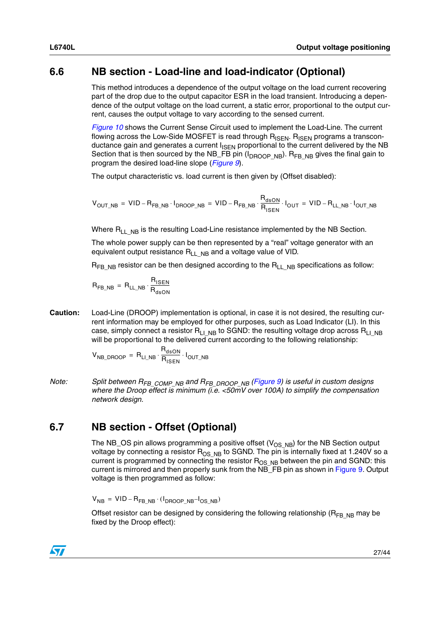## <span id="page-26-0"></span>**6.6 NB section - Load-line and load-indicator (Optional)**

This method introduces a dependence of the output voltage on the load current recovering part of the drop due to the output capacitor ESR in the load transient. Introducing a dependence of the output voltage on the load current, a static error, proportional to the output current, causes the output voltage to vary according to the sensed current.

*[Figure 10](#page-24-1)* shows the Current Sense Circuit used to implement the Load-Line. The current flowing across the Low-Side MOSFET is read through  $R_{\text{ISEN}}$ .  $R_{\text{ISEN}}$  programs a transconductance gain and generates a current I<sub>ISEN</sub> proportional to the current delivered by the NB Section that is then sourced by the NB\_FB pin  $(I_{DROOP-NB})$ . R<sub>FB, NB</sub> gives the final gain to program the desired load-line slope (*[Figure 9](#page-22-1)*).

The output characteristic vs. load current is then given by (Offset disabled):

$$
V_{OUT\_NB} = VID - R_{FB\_NB} \cdot I_{DROOP\_NB} = VID - R_{FB\_NB} \cdot \frac{R_{dSON}}{R_{ISEN}} \cdot I_{OUT} = VID - R_{LL\_NB} \cdot I_{OUT\_NB}
$$

Where  $R_{L1-NB}$  is the resulting Load-Line resistance implemented by the NB Section.

The whole power supply can be then represented by a "real" voltage generator with an equivalent output resistance  $R_{LL-NB}$  and a voltage value of VID.

 $R_{FB-NB}$  resistor can be then designed according to the  $R_{LL-NB}$  specifications as follow:

 $R_{FB\_NB} = R_{LL\_NB} \cdot \frac{R_{ISBN}}{R_{R_{max}}}$  $= R_{LL\_NB} \cdot \frac{R_{ISEN}}{R_{dSON}}$ 

**Caution:** Load-Line (DROOP) implementation is optional, in case it is not desired, the resulting current information may be employed for other purposes, such as Load Indicator (LI). In this case, simply connect a resistor R<sub>LIMB</sub> to SGND: the resulting voltage drop across R<sub>LIMB</sub> will be proportional to the delivered current according to the following relationship:

$$
V_{NB\_DROOP} = R_{LI\_NB} \cdot \frac{R_{dsON}}{R_{ISBN}} \cdot I_{OUT\_NB}
$$

*Note: Split between RFB\_COMP\_NB and RFB\_DROOP\_NB ([Figure 9\)](#page-22-1) is useful in custom designs where the Droop effect is minimum (i.e. <50mV over 100A) to simplify the compensation network design.*

## <span id="page-26-1"></span>**6.7 NB section - Offset (Optional)**

The NB\_OS pin allows programming a positive offset  $(V_{OS-NB})$  for the NB Section output voltage by connecting a resistor  $R_{OS-NB}$  to SGND. The pin is internally fixed at 1.240V so a current is programmed by connecting the resistor R<sub>OS\_NB</sub> between the pin and SGND: this current is mirrored and then properly sunk from the NB\_FB pin as shown in [Figure 9](#page-22-1). Output voltage is then programmed as follow:

 $\rm V_{NB}$  = VID –  $\rm R_{FB\_NB} \cdot (1_{DROOP\_NB} - 1_{OS\_NB})$ 

Offset resistor can be designed by considering the following relationship ( $R_{FR}$ <sub>NB</sub> may be fixed by the Droop effect):

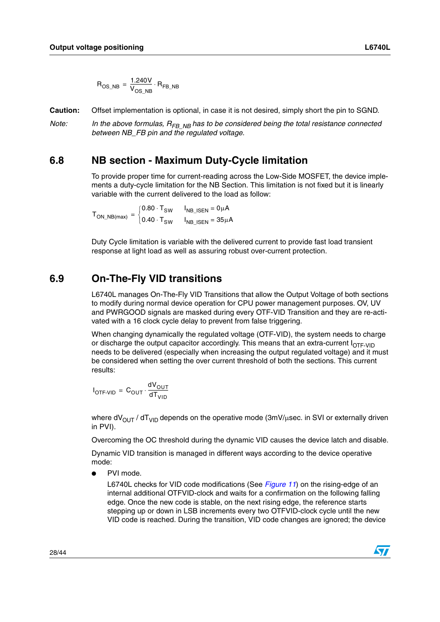$$
\mathsf{R}_{\mathsf{OS\_NB}} = \frac{1.240 \mathsf{V}}{\mathsf{V}_{\mathsf{OS\_NB}}} \cdot \mathsf{R}_{\mathsf{FB\_NB}}
$$

**Caution:** Offset implementation is optional, in case it is not desired, simply short the pin to SGND.

*Note:* In the above formulas, R<sub>FB\_NB</sub> has to be considered being the total resistance connected *between NB\_FB pin and the regulated voltage.*

#### <span id="page-27-0"></span>**6.8 NB section - Maximum Duty-Cycle limitation**

To provide proper time for current-reading across the Low-Side MOSFET, the device implements a duty-cycle limitation for the NB Section. This limitation is not fixed but it is linearly variable with the current delivered to the load as follow:

 ${\mathsf T}_{\mathsf{ON\_NB}(\mathsf{max})}$  $0.80 \cdot \textsf{T}_\textsf{SW} \;\;\;\;\; \mathsf{I}_\textsf{NB\_ISEN} = \textsf{0} \mu \textsf{A}$  $=\begin{cases} 0.80 \cdot 1_{\text{SW}} & \ln B_{\text{JSEN}} = 0 \mu A \\ 0.40 \cdot T_{\text{SW}} & \ln B_{\text{JSEN}} = 35 \mu A \end{cases}$ 

Duty Cycle limitation is variable with the delivered current to provide fast load transient response at light load as well as assuring robust over-current protection.

#### <span id="page-27-1"></span>**6.9 On-The-Fly VID transitions**

L6740L manages On-The-Fly VID Transitions that allow the Output Voltage of both sections to modify during normal device operation for CPU power management purposes. OV, UV and PWRGOOD signals are masked during every OTF-VID Transition and they are re-activated with a 16 clock cycle delay to prevent from false triggering.

When changing dynamically the regulated voltage (OTF-VID), the system needs to charge or discharge the output capacitor accordingly. This means that an extra-current  $I_{\text{OTF-VID}}$ needs to be delivered (especially when increasing the output regulated voltage) and it must be considered when setting the over current threshold of both the sections. This current results:

$$
I_{\text{OTF-VID}} = C_{\text{OUT}} \cdot \frac{dV_{\text{OUT}}}{dT_{\text{VID}}}
$$

where  $dV_{OUT}$  /  $dT_{VID}$  depends on the operative mode (3mV/usec. in SVI or externally driven in PVI).

Overcoming the OC threshold during the dynamic VID causes the device latch and disable.

Dynamic VID transition is managed in different ways according to the device operative mode:

PVI mode.

L6740L checks for VID code modifications (See *[Figure 11](#page-28-0)*) on the rising-edge of an internal additional OTFVID-clock and waits for a confirmation on the following falling edge. Once the new code is stable, on the next rising edge, the reference starts stepping up or down in LSB increments every two OTFVID-clock cycle until the new VID code is reached. During the transition, VID code changes are ignored; the device

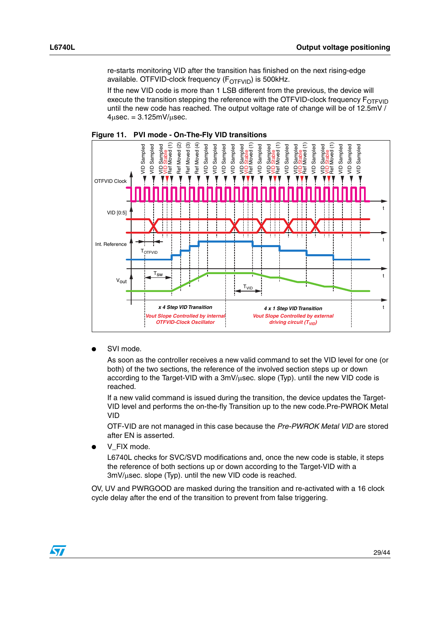re-starts monitoring VID after the transition has finished on the next rising-edge available. OTFVID-clock frequency  $(F_{\text{OTFVID}})$  is 500kHz.

If the new VID code is more than 1 LSB different from the previous, the device will execute the transition stepping the reference with the OTFVID-clock frequency  $F_{\text{OTFVID}}$ until the new code has reached. The output voltage rate of change will be of 12.5mV /  $4\mu$ sec. = 3.125mV/ $\mu$ sec.



<span id="page-28-0"></span>

SVI mode.

As soon as the controller receives a new valid command to set the VID level for one (or both) of the two sections, the reference of the involved section steps up or down according to the Target-VID with a 3mV/µsec. slope (Typ). until the new VID code is reached.

If a new valid command is issued during the transition, the device updates the Target-VID level and performs the on-the-fly Transition up to the new code.Pre-PWROK Metal VID

OTF-VID are not managed in this case because the *Pre-PWROK Metal VID* are stored after EN is asserted.

V\_FIX mode.

L6740L checks for SVC/SVD modifications and, once the new code is stable, it steps the reference of both sections up or down according to the Target-VID with a  $3mV/\mu$ sec. slope (Typ). until the new VID code is reached.

OV, UV and PWRGOOD are masked during the transition and re-activated with a 16 clock cycle delay after the end of the transition to prevent from false triggering.

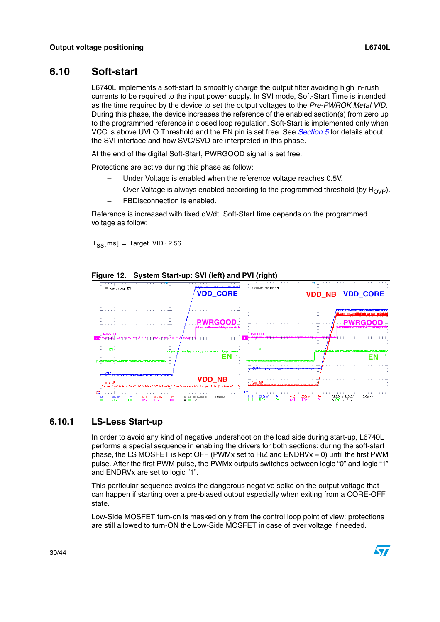## <span id="page-29-0"></span>**6.10 Soft-start**

L6740L implements a soft-start to smoothly charge the output filter avoiding high in-rush currents to be required to the input power supply. In SVI mode, Soft-Start Time is intended as the time required by the device to set the output voltages to the *Pre-PWROK Metal VID*. During this phase, the device increases the reference of the enabled section(s) from zero up to the programmed reference in closed loop regulation. Soft-Start is implemented only when VCC is above UVLO Threshold and the EN pin is set free. See *[Section 5](#page-15-0)* for details about the SVI interface and how SVC/SVD are interpreted in this phase.

At the end of the digital Soft-Start, PWRGOOD signal is set free.

Protections are active during this phase as follow:

- Under Voltage is enabled when the reference voltage reaches 0.5V.
- Over Voltage is always enabled according to the programmed threshold (by  $R_{OVP}$ ).
- FBDisconnection is enabled.

Reference is increased with fixed dV/dt; Soft-Start time depends on the programmed voltage as follow:

 $T_{SS}[ ms ] = Target_VID \cdot 2.56$ 



**Figure 12. System Start-up: SVI (left) and PVI (right)**

#### <span id="page-29-1"></span>**6.10.1 LS-Less Start-up**

In order to avoid any kind of negative undershoot on the load side during start-up, L6740L performs a special sequence in enabling the drivers for both sections: during the soft-start phase, the LS MOSFET is kept OFF (PWMx set to HiZ and ENDRVx = 0) until the first PWM pulse. After the first PWM pulse, the PWMx outputs switches between logic "0" and logic "1" and ENDRVx are set to logic "1".

This particular sequence avoids the dangerous negative spike on the output voltage that can happen if starting over a pre-biased output especially when exiting from a CORE-OFF state.

Low-Side MOSFET turn-on is masked only from the control loop point of view: protections are still allowed to turn-ON the Low-Side MOSFET in case of over voltage if needed.

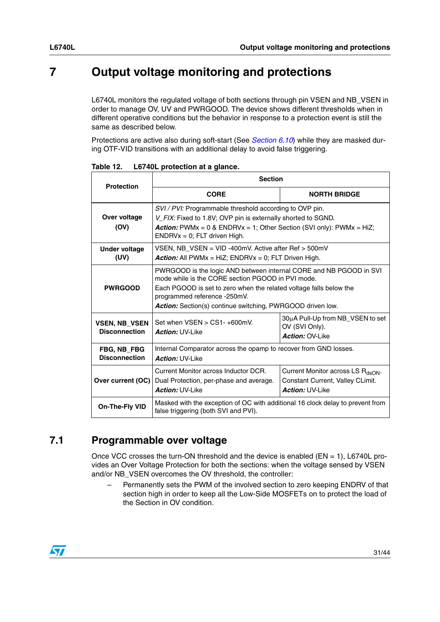## <span id="page-30-0"></span>**7 Output voltage monitoring and protections**

L6740L monitors the regulated voltage of both sections through pin VSEN and NB\_VSEN in order to manage OV, UV and PWRGOOD. The device shows different thresholds when in different operative conditions but the behavior in response to a protection event is still the same as described below.

Protections are active also during soft-start (See *[Section 6.10](#page-29-0)*) while they are masked during OTF-VID transitions with an additional delay to avoid false triggering.

| <b>Protection</b>                          | <b>Section</b>                                                                                                                                                                                                                                                                                     |                     |  |  |  |  |
|--------------------------------------------|----------------------------------------------------------------------------------------------------------------------------------------------------------------------------------------------------------------------------------------------------------------------------------------------------|---------------------|--|--|--|--|
|                                            | <b>CORE</b>                                                                                                                                                                                                                                                                                        | <b>NORTH BRIDGE</b> |  |  |  |  |
| Over voltage<br>(OV)                       | SVI / PVI: Programmable threshold according to OVP pin.<br>V FIX: Fixed to 1.8V; OVP pin is externally shorted to SGND.<br><b>Action:</b> PWMx = $0$ & ENDRVx = 1; Other Section (SVI only): PWMx = HiZ;<br>$ENDRVx = 0$ ; FLT driven High.                                                        |                     |  |  |  |  |
| Under voltage<br>(UV)                      | VSEN, NB VSEN = $VID -400mV$ . Active after Ref $> 500mV$<br><b>Action:</b> All PWMx = HiZ; ENDRVx = 0; FLT Driven High.                                                                                                                                                                           |                     |  |  |  |  |
| <b>PWRGOOD</b>                             | PWRGOOD is the logic AND between internal CORE and NB PGOOD in SVI<br>mode while is the CORE section PGOOD in PVI mode.<br>Each PGOOD is set to zero when the related voltage falls below the<br>programmed reference -250mV.<br><b>Action:</b> Section(s) continue switching, PWRGOOD driven low. |                     |  |  |  |  |
| VSEN, NB VSEN<br><b>Disconnection</b>      | 30µA Pull-Up from NB_VSEN to set<br>Set when VSEN > CS1-+600mV.<br>OV (SVI Only).<br><b>Action: UV-Like</b><br>Action: OV-Like                                                                                                                                                                     |                     |  |  |  |  |
| <b>FBG, NB FBG</b><br><b>Disconnection</b> | Internal Comparator across the opamp to recover from GND losses.<br><b>Action: UV-Like</b>                                                                                                                                                                                                         |                     |  |  |  |  |
| Over current (OC)                          | Current Monitor across Inductor DCR.<br>Current Monitor across LS R <sub>dsON</sub> .<br>Constant Current, Valley CLimit.<br>Dual Protection, per-phase and average.<br><b>Action: UV-Like</b><br><b>Action: UV-Like</b>                                                                           |                     |  |  |  |  |
| On-The-Fly VID                             | Masked with the exception of OC with additional 16 clock delay to prevent from<br>false triggering (both SVI and PVI).                                                                                                                                                                             |                     |  |  |  |  |

**Table 12. L6740L protection at a glance.**

## <span id="page-30-1"></span>**7.1 Programmable over voltage**

Once VCC crosses the turn-ON threshold and the device is enabled ( $EN = 1$ ), L6740L provides an Over Voltage Protection for both the sections: when the voltage sensed by VSEN and/or NB\_VSEN overcomes the OV threshold, the controller:

– Permanently sets the PWM of the involved section to zero keeping ENDRV of that section high in order to keep all the Low-Side MOSFETs on to protect the load of the Section in OV condition.

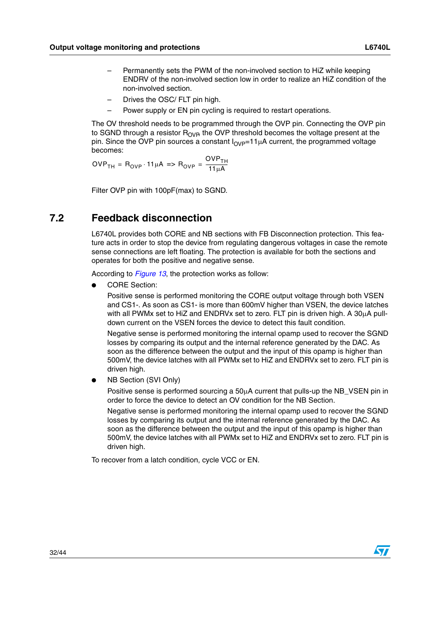- Permanently sets the PWM of the non-involved section to HiZ while keeping ENDRV of the non-involved section low in order to realize an HiZ condition of the non-involved section.
- Drives the OSC/ FLT pin high.
- Power supply or EN pin cycling is required to restart operations.

The OV threshold needs to be programmed through the OVP pin. Connecting the OVP pin to SGND through a resistor  $R_{OVB}$  the OVP threshold becomes the voltage present at the pin. Since the OVP pin sources a constant  $I_{OVP}=11\mu A$  current, the programmed voltage becomes:

 $\mathsf{OVP_{TH}} = \mathsf{R_{OVP}} \cdot \mathsf{11\mu A} \Rightarrow \mathsf{R_{OVP}} = \frac{\mathsf{OVP_{TH}}}{\mathsf{11\mu A}}$ 

Filter OVP pin with 100pF(max) to SGND.

### <span id="page-31-0"></span>**7.2 Feedback disconnection**

L6740L provides both CORE and NB sections with FB Disconnection protection. This feature acts in order to stop the device from regulating dangerous voltages in case the remote sense connections are left floating. The protection is available for both the sections and operates for both the positive and negative sense.

According to *[Figure 13](#page-32-3)*, the protection works as follow:

CORE Section:

Positive sense is performed monitoring the CORE output voltage through both VSEN and CS1-. As soon as CS1- is more than 600mV higher than VSEN, the device latches with all PWMx set to HiZ and ENDRVx set to zero. FLT pin is driven high. A 30µA pulldown current on the VSEN forces the device to detect this fault condition.

Negative sense is performed monitoring the internal opamp used to recover the SGND losses by comparing its output and the internal reference generated by the DAC. As soon as the difference between the output and the input of this opamp is higher than 500mV, the device latches with all PWMx set to HiZ and ENDRVx set to zero. FLT pin is driven high.

**NB Section (SVI Only)** 

Positive sense is performed sourcing a 50µA current that pulls-up the NB\_VSEN pin in order to force the device to detect an OV condition for the NB Section.

Negative sense is performed monitoring the internal opamp used to recover the SGND losses by comparing its output and the internal reference generated by the DAC. As soon as the difference between the output and the input of this opamp is higher than 500mV, the device latches with all PWMx set to HiZ and ENDRVx set to zero. FLT pin is driven high.

To recover from a latch condition, cycle VCC or EN.

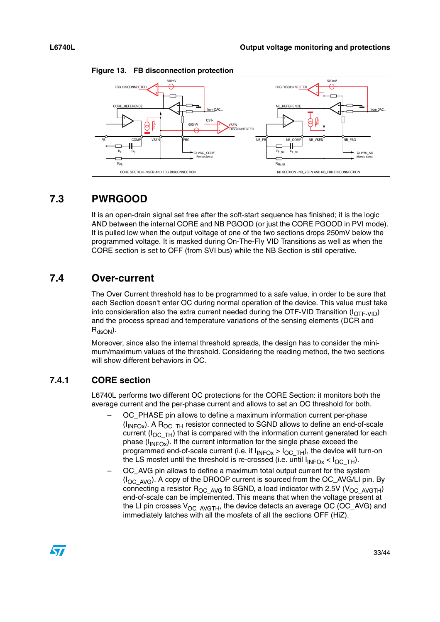

<span id="page-32-3"></span>**Figure 13. FB disconnection protection**

## <span id="page-32-0"></span>**7.3 PWRGOOD**

It is an open-drain signal set free after the soft-start sequence has finished; it is the logic AND between the internal CORE and NB PGOOD (or just the CORE PGOOD in PVI mode). It is pulled low when the output voltage of one of the two sections drops 250mV below the programmed voltage. It is masked during On-The-Fly VID Transitions as well as when the CORE section is set to OFF (from SVI bus) while the NB Section is still operative.

## <span id="page-32-1"></span>**7.4 Over-current**

The Over Current threshold has to be programmed to a safe value, in order to be sure that each Section doesn't enter OC during normal operation of the device. This value must take into consideration also the extra current needed during the OTF-VID Transition  $(I_{\text{OFF-VID}})$ and the process spread and temperature variations of the sensing elements (DCR and  $R_{dsON}$ ).

Moreover, since also the internal threshold spreads, the design has to consider the minimum/maximum values of the threshold. Considering the reading method, the two sections will show different behaviors in OC.

## <span id="page-32-2"></span>**7.4.1 CORE section**

L6740L performs two different OC protections for the CORE Section: it monitors both the average current and the per-phase current and allows to set an OC threshold for both.

- OC\_PHASE pin allows to define a maximum information current per-phase  $(I_{\text{INFOx}})$ . A R<sub>OC\_TH</sub> resistor connected to SGND allows to define an end-of-scale current ( $I_{OCTH}$ ) that is compared with the information current generated for each phase  $(I_{\text{INFOx}})$ . If the current information for the single phase exceed the programmed end-of-scale current (i.e. if  $I_{\text{INFOx}} > I_{\text{OC-TH}}$ ), the device will turn-on the LS mosfet until the threshold is re-crossed (i.e. until  $I_{\text{INFOx}} < I_{\text{OC-TH}}$ ).
- OC\_AVG pin allows to define a maximum total output current for the system (I<sub>OC\_AVG</sub>). A copy of the DROOP current is sourced from the OC\_AVG/LI pin. By connecting a resistor  $R_{OC-AVG}$  to SGND, a load indicator with 2.5V (V<sub>OC\_AVGTH</sub>) end-of-scale can be implemented. This means that when the voltage present at the LI pin crosses  $V_{OC-AVGTH}$ , the device detects an average OC (OC\_AVG) and immediately latches with all the mosfets of all the sections OFF (HiZ).

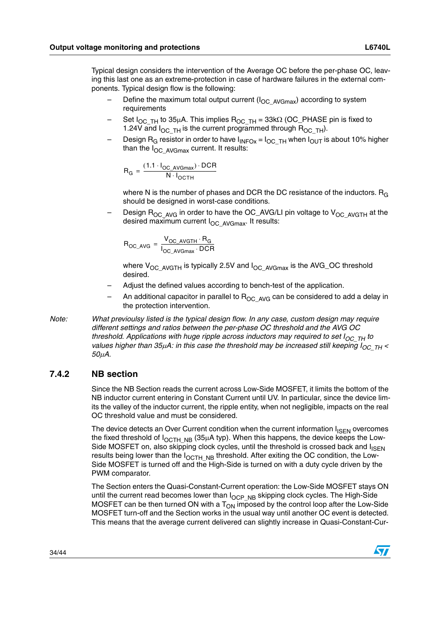Typical design considers the intervention of the Average OC before the per-phase OC, leaving this last one as an extreme-protection in case of hardware failures in the external components. Typical design flow is the following:

- Define the maximum total output current ( $I_{OC-AVGmax}$ ) according to system requirements
- Set  $I_{OC\_TH}$  to 35µA. This implies  $R_{OC\_TH}$  = 33k $\Omega$  (OC\_PHASE pin is fixed to 1.24V and  $I_{OC_TH}$  is the current programmed through  $R_{OC_TH}$ ).
- Design R<sub>G</sub> resistor in order to have  $I_{INFOX} = I_{OC_TH}$  when  $I_{OUT}$  is about 10% higher than the  $I_{OC-AVGmax}$  current. It results:

$$
R_G = \frac{(1.1 \cdot I_{OC\_AVGmax}) \cdot DCR}{N \cdot I_{OCTH}}
$$

where N is the number of phases and DCR the DC resistance of the inductors.  $R_G$ should be designed in worst-case conditions.

Design  $R_{OC_AVG}$  in order to have the OC\_AVG/LI pin voltage to  $V_{OC_AVGTH}$  at the desired maximum current  $I_{OC}$  AvGmax. It results:

$$
R_{OC\_AVG} = \frac{V_{OC\_AVGTH} \cdot R_G}{I_{OC\_AVGmax} \cdot DCR}
$$

where  $V_{OC-AVGTH}$  is typically 2.5V and  $I_{OC-AVGmax}$  is the AVG\_OC threshold desired.

- Adjust the defined values according to bench-test of the application.
- An additional capacitor in parallel to  $R_{OC-AVG}$  can be considered to add a delay in the protection intervention.
- *Note: What previoulsy listed is the typical design flow. In any case, custom design may require different settings and ratios between the per-phase OC threshold and the AVG OC threshold. Applications with huge ripple across inductors may required to set*  $I_{OCTH}$  *to values higher than 35μA: in this case the threshold may be increased still keeping*  $I_{OCTH}$  *< 50*µ*A.*

#### <span id="page-33-0"></span>**7.4.2 NB section**

Since the NB Section reads the current across Low-Side MOSFET, it limits the bottom of the NB inductor current entering in Constant Current until UV. In particular, since the device limits the valley of the inductor current, the ripple entity, when not negligible, impacts on the real OC threshold value and must be considered.

The device detects an Over Current condition when the current information  $I_{\text{ISFN}}$  overcomes the fixed threshold of  $I_{OCTH-NB}$  (35µA typ). When this happens, the device keeps the Low-Side MOSFET on, also skipping clock cycles, until the threshold is crossed back and  $I_{\text{ISFN}}$ results being lower than the  $I_{OCTH-NB}$  threshold. After exiting the OC condition, the Low-Side MOSFET is turned off and the High-Side is turned on with a duty cycle driven by the PWM comparator.

The Section enters the Quasi-Constant-Current operation: the Low-Side MOSFET stays ON until the current read becomes lower than  $I_{OCP-NB}$  skipping clock cycles. The High-Side MOSFET can be then turned ON with a  $T_{ON}$  imposed by the control loop after the Low-Side MOSFET turn-off and the Section works in the usual way until another OC event is detected. This means that the average current delivered can slightly increase in Quasi-Constant-Cur-

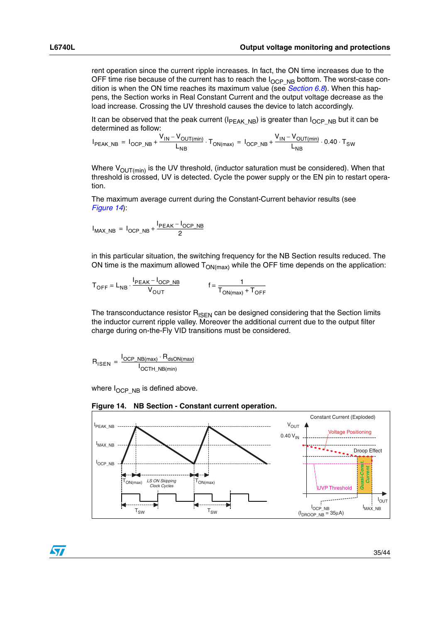rent operation since the current ripple increases. In fact, the ON time increases due to the OFF time rise because of the current has to reach the  $I_{OCP-NB}$  bottom. The worst-case condition is when the ON time reaches its maximum value (see *[Section 6.8](#page-27-0)*). When this happens, the Section works in Real Constant Current and the output voltage decrease as the load increase. Crossing the UV threshold causes the device to latch accordingly.

It can be observed that the peak current ( $I_{PEAK-NB}$ ) is greater than  $I_{OCP-NB}$  but it can be determined as follow:

$$
I_{PEAK\_NB} \ = \ I_{OCP\_NB} + \frac{V_{IN} - V_{OUT(min)}}{L_{NB}} \cdot T_{ON(max)} \ = \ I_{OCP\_NB} + \frac{V_{IN} - V_{OUT(min)}}{L_{NB}} \cdot 0.40 \cdot T_{SW}
$$

Where  $V_{OUT(min)}$  is the UV threshold, (inductor saturation must be considered). When that threshold is crossed, UV is detected. Cycle the power supply or the EN pin to restart operation.

The maximum average current during the Constant-Current behavior results (see *[Figure 14](#page-34-0)*):

$$
I_{MAX\_NB} = I_{OCP\_NB} + \frac{I_{PEAK} - I_{OCP\_NB}}{2}
$$

in this particular situation, the switching frequency for the NB Section results reduced. The ON time is the maximum allowed  $T_{ON(max)}$  while the OFF time depends on the application:

$$
T_{OFF} = L_{NB} \cdot \frac{I_{PEAK} - I_{OCP\_NB}}{V_{OUT}} \qquad f = \frac{1}{T_{ON(max)} + T_{OFF}}
$$

The transconductance resistor  $R_{\text{ISEN}}$  can be designed considering that the Section limits the inductor current ripple valley. Moreover the additional current due to the output filter charge during on-the-Fly VID transitions must be considered.

$$
R_{\text{ISEN}} = \frac{I_{\text{OCP\_NB(max)}} \cdot R_{\text{dsON(max)}}}{I_{\text{OCTH\_NB(min)}}}
$$

where  $I_{OCP-NB}$  is defined above.

<span id="page-34-0"></span>



 $\sqrt{}$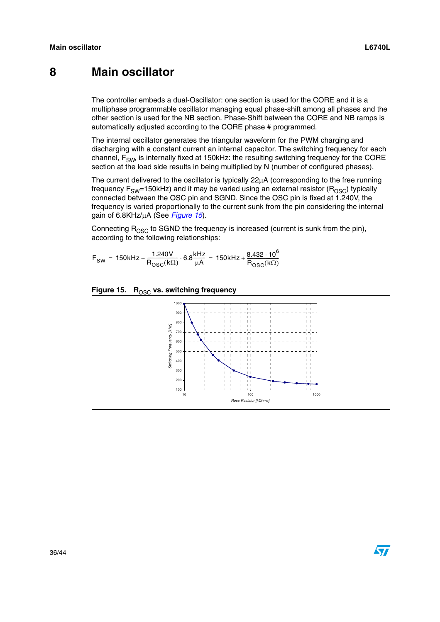## <span id="page-35-0"></span>**8 Main oscillator**

The controller embeds a dual-Oscillator: one section is used for the CORE and it is a multiphase programmable oscillator managing equal phase-shift among all phases and the other section is used for the NB section. Phase-Shift between the CORE and NB ramps is automatically adjusted according to the CORE phase # programmed.

The internal oscillator generates the triangular waveform for the PWM charging and discharging with a constant current an internal capacitor. The switching frequency for each channel,  $F_{SW}$ , is internally fixed at 150kHz: the resulting switching frequency for the CORE section at the load side results in being multiplied by N (number of configured phases).

The current delivered to the oscillator is typically  $22\mu A$  (corresponding to the free running frequency  $F_{SW}=150k$ Hz) and it may be varied using an external resistor ( $R_{OSC}$ ) typically connected between the OSC pin and SGND. Since the OSC pin is fixed at 1.240V, the frequency is varied proportionally to the current sunk from the pin considering the internal gain of 6.8KHz/µA (See *[Figure 15](#page-35-1)*).

Connecting  $R_{\text{OSC}}$  to SGND the frequency is increased (current is sunk from the pin), according to the following relationships:

 $\mathsf{F}_{SW} = 150 \text{kHz} + \frac{1.240 \text{V}}{\mathsf{R}_{OSC}(\mathsf{k}\Omega)} \cdot 6.8 \frac{\text{kHz}}{\mu\mathsf{A}} = 150 \text{kHz} + \frac{8.432 \cdot 10^6}{\mathsf{R}_{OSC}(\mathsf{k}\Omega)}$ 



#### <span id="page-35-1"></span>Figure 15. R<sub>OSC</sub> vs. switching frequency

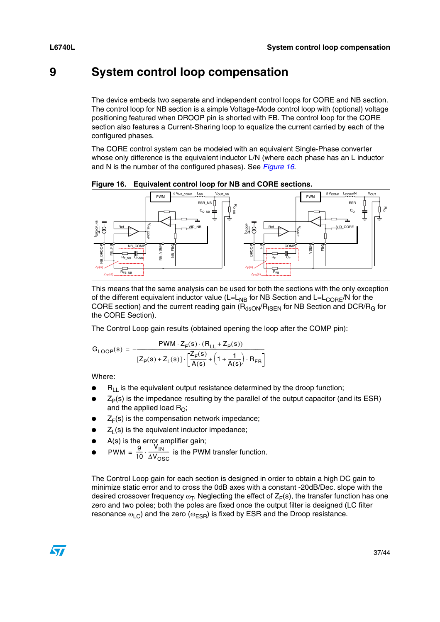## <span id="page-36-0"></span>**9 System control loop compensation**

The device embeds two separate and independent control loops for CORE and NB section. The control loop for NB section is a simple Voltage-Mode control loop with (optional) voltage positioning featured when DROOP pin is shorted with FB. The control loop for the CORE section also features a Current-Sharing loop to equalize the current carried by each of the configured phases.

The CORE control system can be modeled with an equivalent Single-Phase converter whose only difference is the equivalent inductor L/N (where each phase has an L inductor and N is the number of the configured phases). See *[Figure 16](#page-36-1)*.



<span id="page-36-1"></span>**Figure 16. Equivalent control loop for NB and CORE sections.**

This means that the same analysis can be used for both the sections with the only exception of the different equivalent inductor value  $(L=L_{NB}$  for NB Section and  $L=L_{CORE}/N$  for the CORE section) and the current reading gain ( $R_{\text{dsON}}/R_{\text{ISEN}}$  for NB Section and DCR/ $R_{\text{G}}$  for the CORE Section).

The Control Loop gain results (obtained opening the loop after the COMP pin):

$$
G_{\text{LOOP}}(s) = \frac{PWM \cdot Z_F(s) \cdot (R_{\text{LL}} + Z_p(s))}{[Z_p(s) + Z_{\text{L}}(s)] \cdot \left[\frac{Z_F(s)}{A(s)} + \left(1 + \frac{1}{A(s)}\right) \cdot R_{\text{FB}}\right]}
$$

Where:

- $R<sub>L</sub>$  is the equivalent output resistance determined by the droop function;
- $Z_P(s)$  is the impedance resulting by the parallel of the output capacitor (and its ESR) and the applied load  $R_{\Omega}$ ;
- $Z_F(s)$  is the compensation network impedance;
- $Z<sub>l</sub>$  (s) is the equivalent inductor impedance;
- A(s) is the error amplifier gain;
- PWM =  $\frac{9}{10} \cdot \frac{V_{\text{IN}}}{\Delta V_{\text{OSC}}}$  is the PWM transfer function.  $=\frac{9}{10}\cdot\frac{10}{\Delta V_{\text{OSC}}}$

The Control Loop gain for each section is designed in order to obtain a high DC gain to minimize static error and to cross the 0dB axes with a constant -20dB/Dec. slope with the desired crossover frequency  $\omega_T$ . Neglecting the effect of  $Z_F(s)$ , the transfer function has one zero and two poles; both the poles are fixed once the output filter is designed (LC filter resonance  $\omega_{\text{LC}}$ ) and the zero ( $\omega_{\text{ESR}}$ ) is fixed by ESR and the Droop resistance.

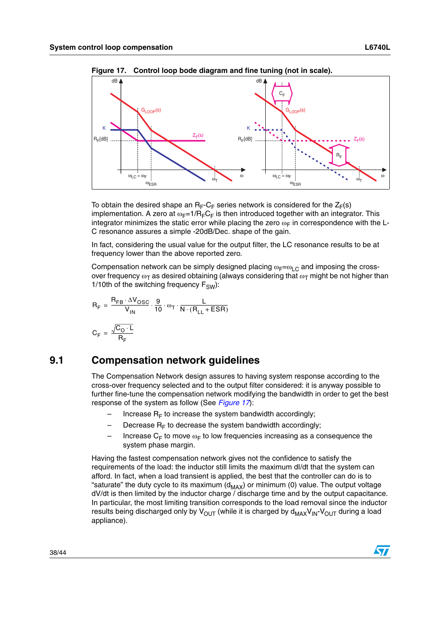

<span id="page-37-1"></span>**Figure 17. Control loop bode diagram and fine tuning (not in scale).**

To obtain the desired shape an  $R_F-C_F$  series network is considered for the  $Z_F(s)$ implementation. A zero at  $\omega_F=1/R_F C_F$  is then introduced together with an integrator. This integrator minimizes the static error while placing the zero  $\omega_F$  in correspondence with the L-C resonance assures a simple -20dB/Dec. shape of the gain.

In fact, considering the usual value for the output filter, the LC resonance results to be at frequency lower than the above reported zero.

Compensation network can be simply designed placing  $\omega_F = \omega_L C$  and imposing the crossover frequency  $\omega_T$  as desired obtaining (always considering that  $\omega_T$  might be not higher than 1/10th of the switching frequency  $F_{SW}$ ):

$$
R_F = \frac{R_{FB} \cdot \Delta V_{OSC}}{V_{IN}} \cdot \frac{9}{10} \cdot \omega_T \cdot \frac{L}{N \cdot (R_{LL} + ESR)}
$$

$$
C_F = \frac{\sqrt{C_O \cdot L}}{R_F}
$$

## <span id="page-37-0"></span>**9.1 Compensation network guidelines**

The Compensation Network design assures to having system response according to the cross-over frequency selected and to the output filter considered: it is anyway possible to further fine-tune the compensation network modifying the bandwidth in order to get the best response of the system as follow (See *[Figure 17](#page-37-1)*):

- Increase  $R_F$  to increase the system bandwidth accordingly;
- Decrease  $R_F$  to decrease the system bandwidth accordingly;
- Increase  $C_F$  to move  $\omega_F$  to low frequencies increasing as a consequence the system phase margin.

Having the fastest compensation network gives not the confidence to satisfy the requirements of the load: the inductor still limits the maximum dI/dt that the system can afford. In fact, when a load transient is applied, the best that the controller can do is to "saturate" the duty cycle to its maximum  $(d_{MAX})$  or minimum (0) value. The output voltage dV/dt is then limited by the inductor charge / discharge time and by the output capacitance. In particular, the most limiting transition corresponds to the load removal since the inductor results being discharged only by  $V_{\text{OUT}}$  (while it is charged by  $d_{\text{MAX}}V_{\text{IN}}-V_{\text{OUT}}$  during a load appliance).

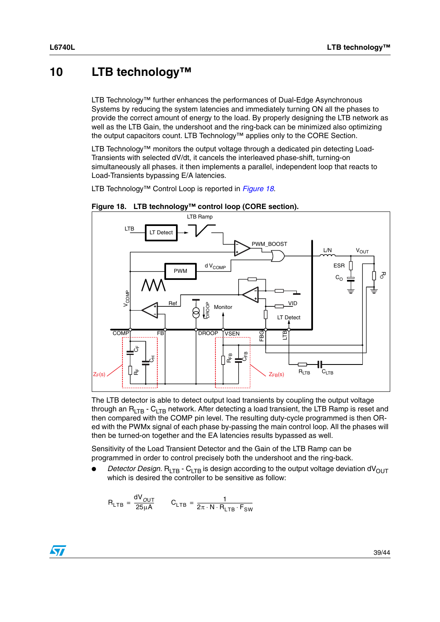## <span id="page-38-0"></span>**10 LTB technology™**

LTB Technology™ further enhances the performances of Dual-Edge Asynchronous Systems by reducing the system latencies and immediately turning ON all the phases to provide the correct amount of energy to the load. By properly designing the LTB network as well as the LTB Gain, the undershoot and the ring-back can be minimized also optimizing the output capacitors count. LTB Technology™ applies only to the CORE Section.

LTB Technology™ monitors the output voltage through a dedicated pin detecting Load-Transients with selected dV/dt, it cancels the interleaved phase-shift, turning-on simultaneously all phases. it then implements a parallel, independent loop that reacts to Load-Transients bypassing E/A latencies.

LTB Technology™ Control Loop is reported in *[Figure 18](#page-38-1)*.



<span id="page-38-1"></span>

The LTB detector is able to detect output load transients by coupling the output voltage through an  $R_{ITB}$  -  $C_{ITB}$  network. After detecting a load transient, the LTB Ramp is reset and then compared with the COMP pin level. The resulting duty-cycle programmed is then ORed with the PWMx signal of each phase by-passing the main control loop. All the phases will then be turned-on together and the EA latencies results bypassed as well.

Sensitivity of the Load Transient Detector and the Gain of the LTB Ramp can be programmed in order to control precisely both the undershoot and the ring-back.

*Detector Design.* R<sub>LTB</sub> - C<sub>LTB</sub> is design according to the output voltage deviation dV<sub>OUT</sub> which is desired the controller to be sensitive as follow:

$$
R_{LTB} = \frac{dV_{OUT}}{25\mu A} \qquad C_{LTB} = \frac{1}{2\pi \cdot N \cdot R_{LTB} \cdot F_{SW}}
$$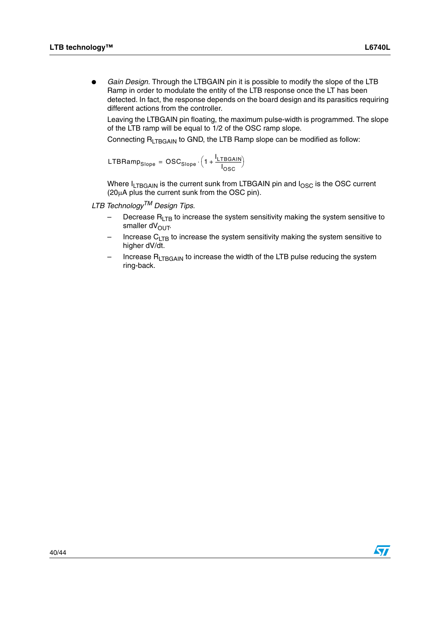Gain Design. Through the LTBGAIN pin it is possible to modify the slope of the LTB Ramp in order to modulate the entity of the LTB response once the LT has been detected. In fact, the response depends on the board design and its parasitics requiring different actions from the controller.

Leaving the LTBGAIN pin floating, the maximum pulse-width is programmed. The slope of the LTB ramp will be equal to 1/2 of the OSC ramp slope.

Connecting  $R_{LTBGAIN}$  to GND, the LTB Ramp slope can be modified as follow:

$$
LTBRamp_{Slope} = OSC_{Slope} \cdot \left(1 + \frac{I_{LTBGAIN}}{I_{OSC}}\right)
$$

Where I<sub>LTBGAIN</sub> is the current sunk from LTBGAIN pin and I<sub>OSC</sub> is the OSC current (20µA plus the current sunk from the OSC pin).

*LTB TechnologyTM Design Tips.*

- $-$  Decrease R<sub>LTB</sub> to increase the system sensitivity making the system sensitive to smaller dV<sub>OUT</sub>.
- Increase  $C_{LTB}$  to increase the system sensitivity making the system sensitive to higher dV/dt.
- Increase  $R_{LTBGAIN}$  to increase the width of the LTB pulse reducing the system ring-back.

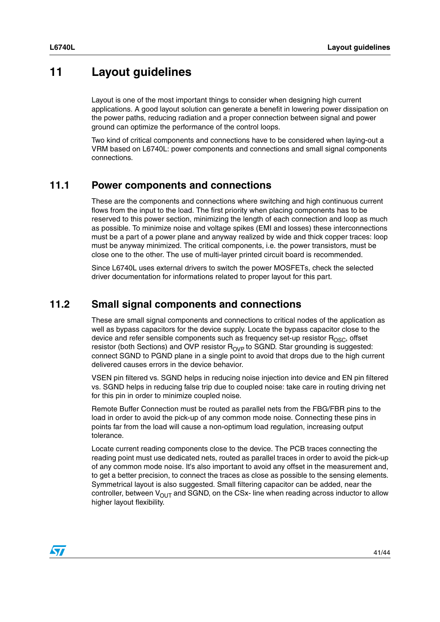## <span id="page-40-0"></span>**11 Layout guidelines**

Layout is one of the most important things to consider when designing high current applications. A good layout solution can generate a benefit in lowering power dissipation on the power paths, reducing radiation and a proper connection between signal and power ground can optimize the performance of the control loops.

Two kind of critical components and connections have to be considered when laying-out a VRM based on L6740L: power components and connections and small signal components connections.

### <span id="page-40-1"></span>**11.1 Power components and connections**

These are the components and connections where switching and high continuous current flows from the input to the load. The first priority when placing components has to be reserved to this power section, minimizing the length of each connection and loop as much as possible. To minimize noise and voltage spikes (EMI and losses) these interconnections must be a part of a power plane and anyway realized by wide and thick copper traces: loop must be anyway minimized. The critical components, i.e. the power transistors, must be close one to the other. The use of multi-layer printed circuit board is recommended.

Since L6740L uses external drivers to switch the power MOSFETs, check the selected driver documentation for informations related to proper layout for this part.

## <span id="page-40-2"></span>**11.2 Small signal components and connections**

These are small signal components and connections to critical nodes of the application as well as bypass capacitors for the device supply. Locate the bypass capacitor close to the device and refer sensible components such as frequency set-up resistor  $R_{\text{OSC}}$ , offset resistor (both Sections) and OVP resistor  $R_{OVP}$  to SGND. Star grounding is suggested: connect SGND to PGND plane in a single point to avoid that drops due to the high current delivered causes errors in the device behavior.

VSEN pin filtered vs. SGND helps in reducing noise injection into device and EN pin filtered vs. SGND helps in reducing false trip due to coupled noise: take care in routing driving net for this pin in order to minimize coupled noise.

Remote Buffer Connection must be routed as parallel nets from the FBG/FBR pins to the load in order to avoid the pick-up of any common mode noise. Connecting these pins in points far from the load will cause a non-optimum load regulation, increasing output tolerance.

Locate current reading components close to the device. The PCB traces connecting the reading point must use dedicated nets, routed as parallel traces in order to avoid the pick-up of any common mode noise. It's also important to avoid any offset in the measurement and, to get a better precision, to connect the traces as close as possible to the sensing elements. Symmetrical layout is also suggested. Small filtering capacitor can be added, near the controller, between  $V_{\text{OUT}}$  and SGND, on the CSx- line when reading across inductor to allow higher layout flexibility.

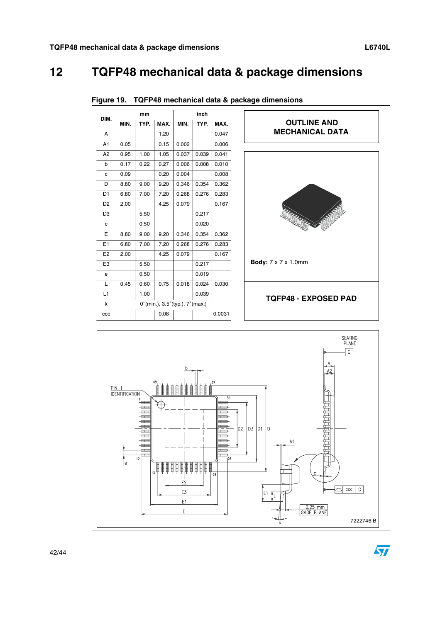## <span id="page-41-0"></span>**12 TQFP48 mechanical data & package dimensions**



**Figure 19. TQFP48 mechanical data & package dimensions**

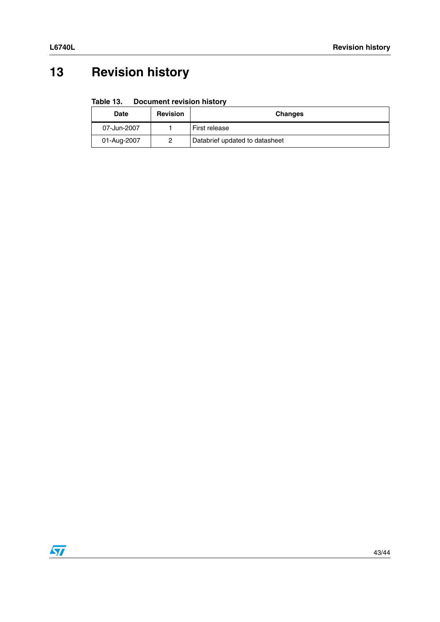## <span id="page-42-0"></span>**13 Revision history**

#### **Table 13. Document revision history**

| <b>Date</b>      | <b>Revision</b> | <b>Changes</b>                 |
|------------------|-----------------|--------------------------------|
| 07-Jun-2007      |                 | First release                  |
| 01-Aug-2007<br>0 |                 | Databrief updated to datasheet |